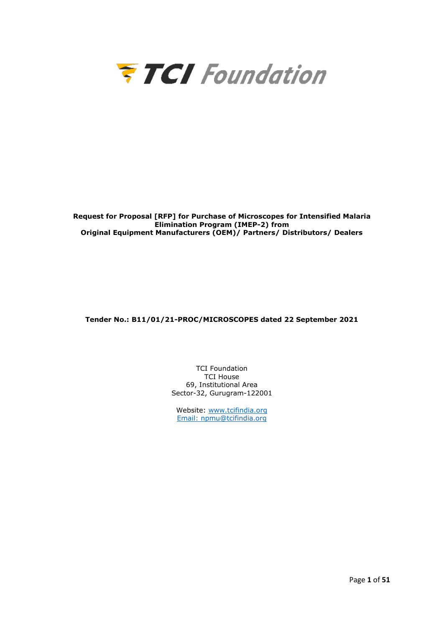

**Request for Proposal [RFP] for Purchase of Microscopes for Intensified Malaria Elimination Program (IMEP-2) from Original Equipment Manufacturers (OEM)/ Partners/ Distributors/ Dealers** 

**Tender No.: B11/01/21-PROC/MICROSCOPES dated 22 September 2021**

TCI Foundation TCI House 69, Institutional Area Sector-32, Gurugram-122001

Website: [www.tcifindia.org](http://www.tcifindia.org/) Email: [npmu@tcifindia.org](mailto:npmu@tcifindia.org)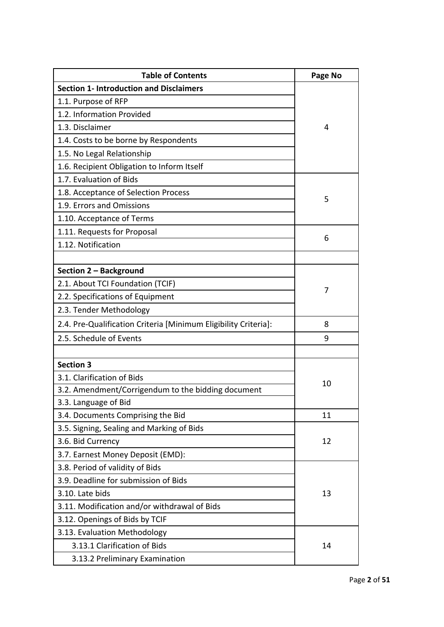| <b>Table of Contents</b>                                        | Page No |
|-----------------------------------------------------------------|---------|
| <b>Section 1- Introduction and Disclaimers</b>                  |         |
| 1.1. Purpose of RFP                                             |         |
| 1.2. Information Provided                                       |         |
| 1.3. Disclaimer                                                 | 4       |
| 1.4. Costs to be borne by Respondents                           |         |
| 1.5. No Legal Relationship                                      |         |
| 1.6. Recipient Obligation to Inform Itself                      |         |
| 1.7. Evaluation of Bids                                         |         |
| 1.8. Acceptance of Selection Process                            |         |
| 1.9. Errors and Omissions                                       | 5       |
| 1.10. Acceptance of Terms                                       |         |
| 1.11. Requests for Proposal                                     |         |
| 1.12. Notification                                              | 6       |
|                                                                 |         |
| Section 2 - Background                                          |         |
| 2.1. About TCI Foundation (TCIF)                                | 7       |
| 2.2. Specifications of Equipment                                |         |
| 2.3. Tender Methodology                                         |         |
| 2.4. Pre-Qualification Criteria [Minimum Eligibility Criteria]: | 8       |
| 2.5. Schedule of Events                                         | 9       |
|                                                                 |         |
| <b>Section 3</b>                                                |         |
| 3.1. Clarification of Bids                                      | 10      |
| 3.2. Amendment/Corrigendum to the bidding document              |         |
| 3.3. Language of Bid                                            |         |
| 3.4. Documents Comprising the Bid                               | 11      |
| 3.5. Signing, Sealing and Marking of Bids                       |         |
| 3.6. Bid Currency                                               | 12      |
| 3.7. Earnest Money Deposit (EMD):                               |         |
| 3.8. Period of validity of Bids                                 |         |
| 3.9. Deadline for submission of Bids                            |         |
| 3.10. Late bids                                                 | 13      |
| 3.11. Modification and/or withdrawal of Bids                    |         |
| 3.12. Openings of Bids by TCIF                                  |         |
| 3.13. Evaluation Methodology                                    |         |
| 3.13.1 Clarification of Bids                                    | 14      |
| 3.13.2 Preliminary Examination                                  |         |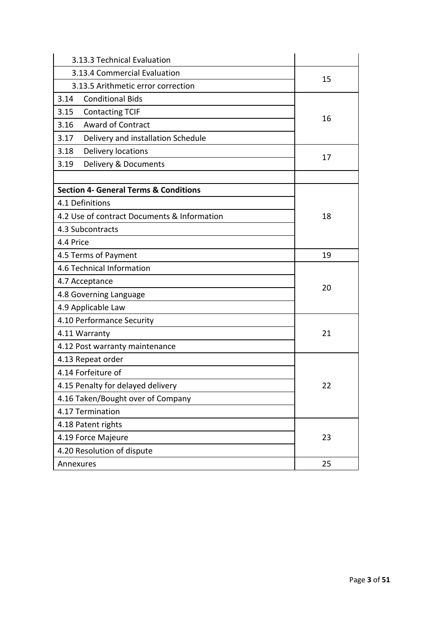| 3.13.3 Technical Evaluation                      |    |  |  |  |
|--------------------------------------------------|----|--|--|--|
| 3.13.4 Commercial Evaluation                     |    |  |  |  |
| 3.13.5 Arithmetic error correction               | 15 |  |  |  |
| 3.14<br><b>Conditional Bids</b>                  |    |  |  |  |
| 3.15<br><b>Contacting TCIF</b>                   |    |  |  |  |
| <b>Award of Contract</b><br>3.16                 | 16 |  |  |  |
| 3.17<br>Delivery and installation Schedule       |    |  |  |  |
| Delivery locations<br>3.18                       | 17 |  |  |  |
| 3.19<br>Delivery & Documents                     |    |  |  |  |
|                                                  |    |  |  |  |
| <b>Section 4- General Terms &amp; Conditions</b> |    |  |  |  |
| 4.1 Definitions                                  |    |  |  |  |
| 4.2 Use of contract Documents & Information      | 18 |  |  |  |
| 4.3 Subcontracts                                 |    |  |  |  |
| 4.4 Price                                        |    |  |  |  |
| 4.5 Terms of Payment                             | 19 |  |  |  |
| 4.6 Technical Information                        | 20 |  |  |  |
| 4.7 Acceptance                                   |    |  |  |  |
| 4.8 Governing Language                           |    |  |  |  |
| 4.9 Applicable Law                               |    |  |  |  |
| 4.10 Performance Security                        |    |  |  |  |
| 4.11 Warranty                                    | 21 |  |  |  |
| 4.12 Post warranty maintenance                   |    |  |  |  |
| 4.13 Repeat order                                |    |  |  |  |
| 4.14 Forfeiture of                               |    |  |  |  |
| 4.15 Penalty for delayed delivery                | 22 |  |  |  |
| 4.16 Taken/Bought over of Company                |    |  |  |  |
| 4.17 Termination                                 |    |  |  |  |
| 4.18 Patent rights                               |    |  |  |  |
| 4.19 Force Majeure                               | 23 |  |  |  |
| 4.20 Resolution of dispute                       |    |  |  |  |
| Annexures                                        | 25 |  |  |  |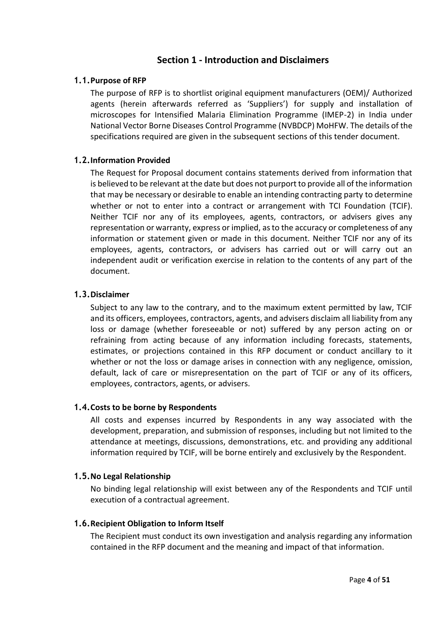## **Section 1 - Introduction and Disclaimers**

### **1.1.Purpose of RFP**

The purpose of RFP is to shortlist original equipment manufacturers (OEM)/ Authorized agents (herein afterwards referred as 'Suppliers') for supply and installation of microscopes for Intensified Malaria Elimination Programme (IMEP-2) in India under National Vector Borne Diseases Control Programme (NVBDCP) MoHFW. The details of the specifications required are given in the subsequent sections of this tender document.

### **1.2.Information Provided**

The Request for Proposal document contains statements derived from information that is believed to be relevant at the date but does not purport to provide all of the information that may be necessary or desirable to enable an intending contracting party to determine whether or not to enter into a contract or arrangement with TCI Foundation (TCIF). Neither TCIF nor any of its employees, agents, contractors, or advisers gives any representation or warranty, express or implied, as to the accuracy or completeness of any information or statement given or made in this document. Neither TCIF nor any of its employees, agents, contractors, or advisers has carried out or will carry out an independent audit or verification exercise in relation to the contents of any part of the document.

### **1.3.Disclaimer**

Subject to any law to the contrary, and to the maximum extent permitted by law, TCIF and its officers, employees, contractors, agents, and advisers disclaim all liability from any loss or damage (whether foreseeable or not) suffered by any person acting on or refraining from acting because of any information including forecasts, statements, estimates, or projections contained in this RFP document or conduct ancillary to it whether or not the loss or damage arises in connection with any negligence, omission, default, lack of care or misrepresentation on the part of TCIF or any of its officers, employees, contractors, agents, or advisers.

### **1.4.Costs to be borne by Respondents**

All costs and expenses incurred by Respondents in any way associated with the development, preparation, and submission of responses, including but not limited to the attendance at meetings, discussions, demonstrations, etc. and providing any additional information required by TCIF, will be borne entirely and exclusively by the Respondent.

### **1.5.No Legal Relationship**

No binding legal relationship will exist between any of the Respondents and TCIF until execution of a contractual agreement.

### **1.6.Recipient Obligation to Inform Itself**

The Recipient must conduct its own investigation and analysis regarding any information contained in the RFP document and the meaning and impact of that information.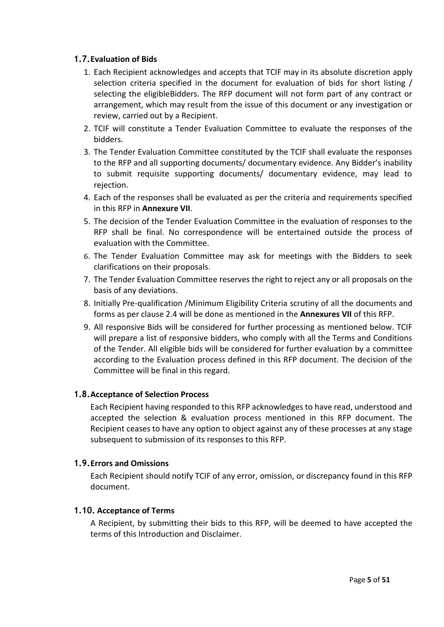## **1.7.Evaluation of Bids**

- 1. Each Recipient acknowledges and accepts that TCIF may in its absolute discretion apply selection criteria specified in the document for evaluation of bids for short listing / selecting the eligibleBidders. The RFP document will not form part of any contract or arrangement, which may result from the issue of this document or any investigation or review, carried out by a Recipient.
- 2. TCIF will constitute a Tender Evaluation Committee to evaluate the responses of the bidders.
- 3. The Tender Evaluation Committee constituted by the TCIF shall evaluate the responses to the RFP and all supporting documents/ documentary evidence. Any Bidder's inability to submit requisite supporting documents/ documentary evidence, may lead to rejection.
- 4. Each of the responses shall be evaluated as per the criteria and requirements specified in this RFP in **Annexure VII**.
- 5. The decision of the Tender Evaluation Committee in the evaluation of responses to the RFP shall be final. No correspondence will be entertained outside the process of evaluation with the Committee.
- 6. The Tender Evaluation Committee may ask for meetings with the Bidders to seek clarifications on their proposals.
- 7. The Tender Evaluation Committee reserves the right to reject any or all proposals on the basis of any deviations.
- 8. Initially Pre-qualification /Minimum Eligibility Criteria scrutiny of all the documents and forms as per clause 2.4 will be done as mentioned in the **Annexures VII** of this RFP.
- 9. All responsive Bids will be considered for further processing as mentioned below. TCIF will prepare a list of responsive bidders, who comply with all the Terms and Conditions of the Tender. All eligible bids will be considered for further evaluation by a committee according to the Evaluation process defined in this RFP document. The decision of the Committee will be final in this regard.

## **1.8.Acceptance of Selection Process**

Each Recipient having responded to this RFP acknowledges to have read, understood and accepted the selection & evaluation process mentioned in this RFP document. The Recipient ceases to have any option to object against any of these processes at any stage subsequent to submission of its responses to this RFP.

### **1.9.Errors and Omissions**

Each Recipient should notify TCIF of any error, omission, or discrepancy found in this RFP document.

### **1.10. Acceptance of Terms**

A Recipient, by submitting their bids to this RFP, will be deemed to have accepted the terms of this Introduction and Disclaimer.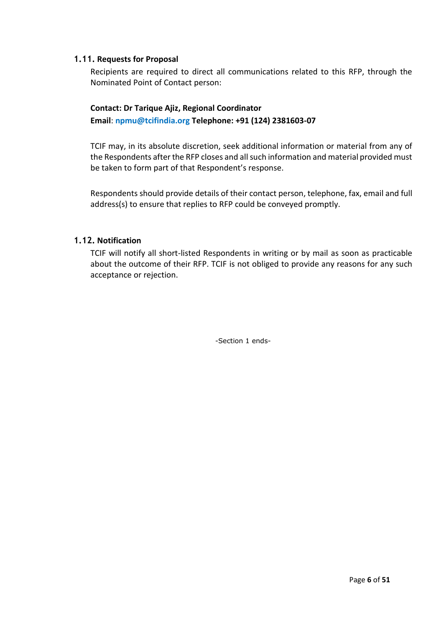### **1.11. Requests for Proposal**

Recipients are required to direct all communications related to this RFP, through the Nominated Point of Contact person:

## **Contact: Dr Tarique Ajiz, Regional Coordinator Email**: **npmu@tcifindia.org Telephone: +91 (124) 2381603-07**

TCIF may, in its absolute discretion, seek additional information or material from any of the Respondents after the RFP closes and all such information and material provided must be taken to form part of that Respondent's response.

Respondents should provide details of their contact person, telephone, fax, email and full address(s) to ensure that replies to RFP could be conveyed promptly.

## **1.12. Notification**

TCIF will notify all short-listed Respondents in writing or by mail as soon as practicable about the outcome of their RFP. TCIF is not obliged to provide any reasons for any such acceptance or rejection.

-Section 1 ends-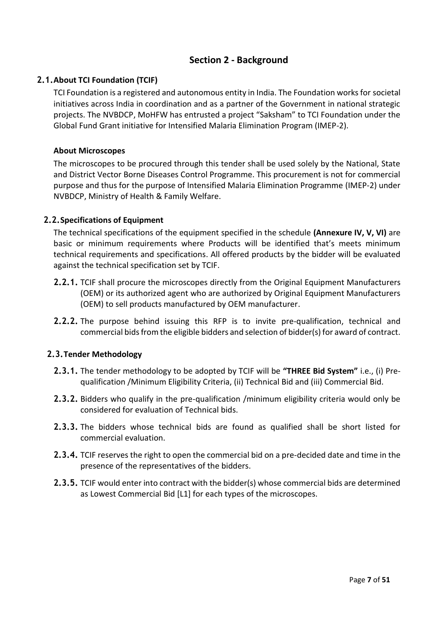## **Section 2 - Background**

## **2.1.About TCI Foundation (TCIF)**

TCI Foundation is a registered and autonomous entity in India. The Foundation works for societal initiatives across India in coordination and as a partner of the Government in national strategic projects. The NVBDCP, MoHFW has entrusted a project "Saksham" to TCI Foundation under the Global Fund Grant initiative for Intensified Malaria Elimination Program (IMEP-2).

### **About Microscopes**

The microscopes to be procured through this tender shall be used solely by the National, State and District Vector Borne Diseases Control Programme. This procurement is not for commercial purpose and thus for the purpose of Intensified Malaria Elimination Programme (IMEP-2) under NVBDCP, Ministry of Health & Family Welfare.

### **2.2.Specifications of Equipment**

The technical specifications of the equipment specified in the schedule **(Annexure IV, V, VI)** are basic or minimum requirements where Products will be identified that's meets minimum technical requirements and specifications. All offered products by the bidder will be evaluated against the technical specification set by TCIF.

- **2.2.1.** TCIF shall procure the microscopes directly from the Original Equipment Manufacturers (OEM) or its authorized agent who are authorized by Original Equipment Manufacturers (OEM) to sell products manufactured by OEM manufacturer.
- **2.2.2.** The purpose behind issuing this RFP is to invite pre-qualification, technical and commercial bids from the eligible bidders and selection of bidder(s) for award of contract.

### **2.3.Tender Methodology**

- **2.3.1.** The tender methodology to be adopted by TCIF will be **"THREE Bid System"** i.e., (i) Prequalification /Minimum Eligibility Criteria, (ii) Technical Bid and (iii) Commercial Bid.
- **2.3.2.** Bidders who qualify in the pre-qualification /minimum eligibility criteria would only be considered for evaluation of Technical bids.
- **2.3.3.** The bidders whose technical bids are found as qualified shall be short listed for commercial evaluation.
- **2.3.4.** TCIF reserves the right to open the commercial bid on a pre-decided date and time in the presence of the representatives of the bidders.
- **2.3.5.** TCIF would enter into contract with the bidder(s) whose commercial bids are determined as Lowest Commercial Bid [L1] for each types of the microscopes.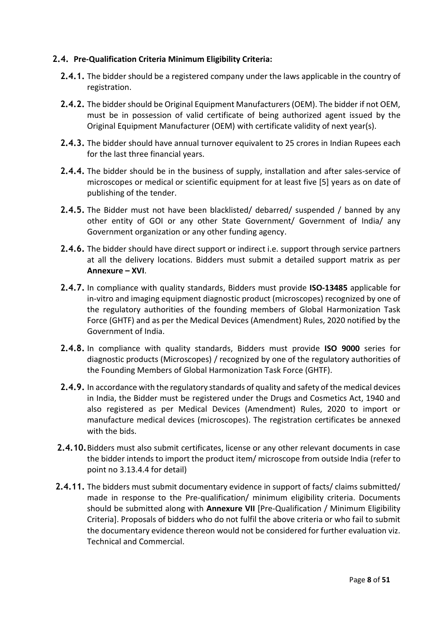### **2.4. Pre-Qualification Criteria Minimum Eligibility Criteria:**

- **2.4.1.** The bidder should be a registered company under the laws applicable in the country of registration.
- **2.4.2.** The bidder should be Original Equipment Manufacturers (OEM). The bidder if not OEM, must be in possession of valid certificate of being authorized agent issued by the Original Equipment Manufacturer (OEM) with certificate validity of next year(s).
- **2.4.3.** The bidder should have annual turnover equivalent to 25 crores in Indian Rupees each for the last three financial years.
- **2.4.4.** The bidder should be in the business of supply, installation and after sales-service of microscopes or medical or scientific equipment for at least five [5] years as on date of publishing of the tender.
- **2.4.5.** The Bidder must not have been blacklisted/ debarred/ suspended / banned by any other entity of GOI or any other State Government/ Government of India/ any Government organization or any other funding agency.
- **2.4.6.** The bidder should have direct support or indirect i.e. support through service partners at all the delivery locations. Bidders must submit a detailed support matrix as per **Annexure – XVI**.
- **2.4.7.** In compliance with quality standards, Bidders must provide **ISO-13485** applicable for in-vitro and imaging equipment diagnostic product (microscopes) recognized by one of the regulatory authorities of the founding members of Global Harmonization Task Force (GHTF) and as per the Medical Devices (Amendment) Rules, 2020 notified by the Government of India.
- **2.4.8.** In compliance with quality standards, Bidders must provide **ISO 9000** series for diagnostic products (Microscopes) / recognized by one of the regulatory authorities of the Founding Members of Global Harmonization Task Force (GHTF).
- **2.4.9.** In accordance with the regulatory standards of quality and safety of the medical devices in India, the Bidder must be registered under the Drugs and Cosmetics Act, 1940 and also registered as per Medical Devices (Amendment) Rules, 2020 to import or manufacture medical devices (microscopes). The registration certificates be annexed with the bids.
- **2.4.10.**Bidders must also submit certificates, license or any other relevant documents in case the bidder intends to import the product item/ microscope from outside India (refer to point no 3.13.4.4 for detail)
- **2.4.11.** The bidders must submit documentary evidence in support of facts/ claims submitted/ made in response to the Pre-qualification/ minimum eligibility criteria. Documents should be submitted along with **Annexure VII** [Pre-Qualification / Minimum Eligibility Criteria]. Proposals of bidders who do not fulfil the above criteria or who fail to submit the documentary evidence thereon would not be considered for further evaluation viz. Technical and Commercial.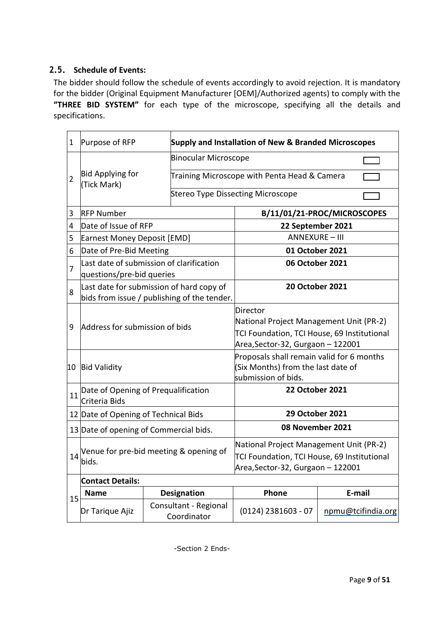## **2.5. Schedule of Events:**

The bidder should follow the schedule of events accordingly to avoid rejection. It is mandatory for the bidder (Original Equipment Manufacturer [OEM]/Authorized agents) to comply with the **"THREE BID SYSTEM"** for each type of the microscope, specifying all the details and specifications.

| $\mathbf 1$                                                   | Purpose of RFP                                                                          |                                              | Supply and Installation of New & Branded Microscopes                                                                                    |                                   |  |  |  |
|---------------------------------------------------------------|-----------------------------------------------------------------------------------------|----------------------------------------------|-----------------------------------------------------------------------------------------------------------------------------------------|-----------------------------------|--|--|--|
|                                                               |                                                                                         |                                              | <b>Binocular Microscope</b>                                                                                                             |                                   |  |  |  |
| $\overline{2}$                                                | <b>Bid Applying for</b><br>(Tick Mark)                                                  | Training Microscope with Penta Head & Camera |                                                                                                                                         |                                   |  |  |  |
|                                                               |                                                                                         |                                              |                                                                                                                                         | Stereo Type Dissecting Microscope |  |  |  |
| 3                                                             | <b>RFP Number</b>                                                                       |                                              |                                                                                                                                         | B/11/01/21-PROC/MICROSCOPES       |  |  |  |
| 4                                                             | Date of Issue of RFP                                                                    |                                              |                                                                                                                                         | 22 September 2021                 |  |  |  |
| 5                                                             | <b>Earnest Money Deposit [EMD]</b>                                                      |                                              |                                                                                                                                         | <b>ANNEXURE - III</b>             |  |  |  |
| 6                                                             | Date of Pre-Bid Meeting                                                                 |                                              |                                                                                                                                         | 01 October 2021                   |  |  |  |
| 7                                                             | Last date of submission of clarification<br>questions/pre-bid queries                   |                                              |                                                                                                                                         | 06 October 2021                   |  |  |  |
| 8                                                             | Last date for submission of hard copy of<br>bids from issue / publishing of the tender. |                                              |                                                                                                                                         | <b>20 October 2021</b>            |  |  |  |
| 9                                                             | Address for submission of bids                                                          |                                              | Director<br>National Project Management Unit (PR-2)<br>TCI Foundation, TCI House, 69 Institutional<br>Area, Sector-32, Gurgaon - 122001 |                                   |  |  |  |
| 10                                                            | <b>Bid Validity</b>                                                                     |                                              | Proposals shall remain valid for 6 months<br>(Six Months) from the last date of<br>submission of bids.                                  |                                   |  |  |  |
| 11                                                            | Date of Opening of Prequalification<br>Criteria Bids                                    |                                              |                                                                                                                                         | <b>22 October 2021</b>            |  |  |  |
|                                                               | 12 Date of Opening of Technical Bids                                                    |                                              |                                                                                                                                         | 29 October 2021                   |  |  |  |
|                                                               | 13 Date of opening of Commercial bids.                                                  |                                              |                                                                                                                                         | 08 November 2021                  |  |  |  |
| 14                                                            | Venue for pre-bid meeting & opening of<br>bids.                                         |                                              | National Project Management Unit (PR-2)<br>TCI Foundation, TCI House, 69 Institutional<br>Area, Sector-32, Gurgaon - 122001             |                                   |  |  |  |
|                                                               | <b>Contact Details:</b>                                                                 |                                              |                                                                                                                                         |                                   |  |  |  |
| Phone<br>E-mail<br>Designation<br><b>Name</b>                 |                                                                                         |                                              |                                                                                                                                         |                                   |  |  |  |
| 15<br>Consultant - Regional<br>Dr Tarique Ajiz<br>Coordinator |                                                                                         | $(0124)$ 2381603 - 07                        | npmu@tcifindia.org                                                                                                                      |                                   |  |  |  |

-Section 2 Ends-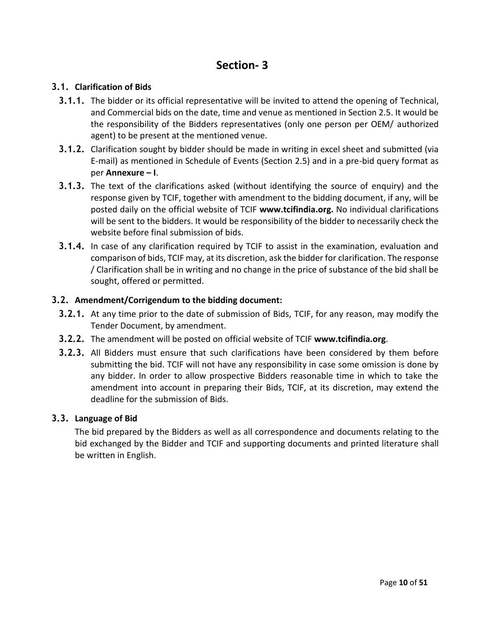# **Section- 3**

## **3.1. Clarification of Bids**

- **3.1.1.** The bidder or its official representative will be invited to attend the opening of Technical, and Commercial bids on the date, time and venue as mentioned in Section 2.5. It would be the responsibility of the Bidders representatives (only one person per OEM/ authorized agent) to be present at the mentioned venue.
- **3.1.2.** Clarification sought by bidder should be made in writing in excel sheet and submitted (via E-mail) as mentioned in Schedule of Events (Section 2.5) and in a pre-bid query format as per **Annexure – I**.
- **3.1.3.** The text of the clarifications asked (without identifying the source of enquiry) and the response given by TCIF, together with amendment to the bidding document, if any, will be posted daily on the official website of TCIF **[www.tcifindia.org.](http://www.tcifindia.org/)** No individual clarifications will be sent to the bidders. It would be responsibility of the bidder to necessarily check the website before final submission of bids.
- **3.1.4.** In case of any clarification required by TCIF to assist in the examination, evaluation and comparison of bids, TCIF may, at its discretion, ask the bidder for clarification. The response / Clarification shall be in writing and no change in the price of substance of the bid shall be sought, offered or permitted.

### **3.2. Amendment/Corrigendum to the bidding document:**

- **3.2.1.** At any time prior to the date of submission of Bids, TCIF, for any reason, may modify the Tender Document, by amendment.
- **3.2.2.** The amendment will be posted on official website of TCIF **[www.tcifindia.org](http://www.tcifindia.org/)**.
- **3.2.3.** All Bidders must ensure that such clarifications have been considered by them before submitting the bid. TCIF will not have any responsibility in case some omission is done by any bidder. In order to allow prospective Bidders reasonable time in which to take the amendment into account in preparing their Bids, TCIF, at its discretion, may extend the deadline for the submission of Bids.

### **3.3. Language of Bid**

The bid prepared by the Bidders as well as all correspondence and documents relating to the bid exchanged by the Bidder and TCIF and supporting documents and printed literature shall be written in English.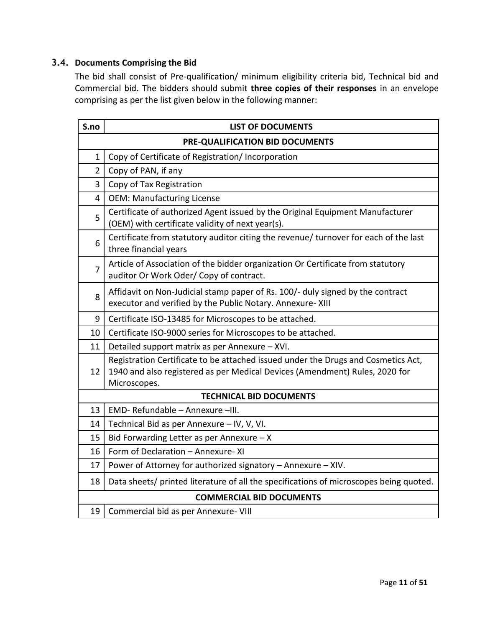## **3.4. Documents Comprising the Bid**

The bid shall consist of Pre-qualification/ minimum eligibility criteria bid, Technical bid and Commercial bid. The bidders should submit **three copies of their responses** in an envelope comprising as per the list given below in the following manner:

| S.no           | <b>LIST OF DOCUMENTS</b>                                                                                                                                                         |  |  |  |  |  |
|----------------|----------------------------------------------------------------------------------------------------------------------------------------------------------------------------------|--|--|--|--|--|
|                | PRE-QUALIFICATION BID DOCUMENTS                                                                                                                                                  |  |  |  |  |  |
| $\mathbf{1}$   | Copy of Certificate of Registration/ Incorporation                                                                                                                               |  |  |  |  |  |
| $\overline{2}$ | Copy of PAN, if any                                                                                                                                                              |  |  |  |  |  |
| 3              | Copy of Tax Registration                                                                                                                                                         |  |  |  |  |  |
| $\overline{4}$ | <b>OEM: Manufacturing License</b>                                                                                                                                                |  |  |  |  |  |
| 5              | Certificate of authorized Agent issued by the Original Equipment Manufacturer<br>(OEM) with certificate validity of next year(s).                                                |  |  |  |  |  |
| 6              | Certificate from statutory auditor citing the revenue/ turnover for each of the last<br>three financial years                                                                    |  |  |  |  |  |
| $\overline{7}$ | Article of Association of the bidder organization Or Certificate from statutory<br>auditor Or Work Oder/ Copy of contract.                                                       |  |  |  |  |  |
| 8              | Affidavit on Non-Judicial stamp paper of Rs. 100/- duly signed by the contract<br>executor and verified by the Public Notary. Annexure- XIII                                     |  |  |  |  |  |
| 9              | Certificate ISO-13485 for Microscopes to be attached.                                                                                                                            |  |  |  |  |  |
| 10             | Certificate ISO-9000 series for Microscopes to be attached.                                                                                                                      |  |  |  |  |  |
| 11             | Detailed support matrix as per Annexure - XVI.                                                                                                                                   |  |  |  |  |  |
| 12             | Registration Certificate to be attached issued under the Drugs and Cosmetics Act,<br>1940 and also registered as per Medical Devices (Amendment) Rules, 2020 for<br>Microscopes. |  |  |  |  |  |
|                | <b>TECHNICAL BID DOCUMENTS</b>                                                                                                                                                   |  |  |  |  |  |
| 13             | EMD- Refundable - Annexure -III.                                                                                                                                                 |  |  |  |  |  |
| 14             | Technical Bid as per Annexure - IV, V, VI.                                                                                                                                       |  |  |  |  |  |
| 15             | Bid Forwarding Letter as per Annexure $- X$                                                                                                                                      |  |  |  |  |  |
| 16             | Form of Declaration - Annexure-XI                                                                                                                                                |  |  |  |  |  |
| 17             | Power of Attorney for authorized signatory - Annexure - XIV.                                                                                                                     |  |  |  |  |  |
| 18             | Data sheets/ printed literature of all the specifications of microscopes being quoted.                                                                                           |  |  |  |  |  |
|                | <b>COMMERCIAL BID DOCUMENTS</b>                                                                                                                                                  |  |  |  |  |  |
| 19             | Commercial bid as per Annexure- VIII                                                                                                                                             |  |  |  |  |  |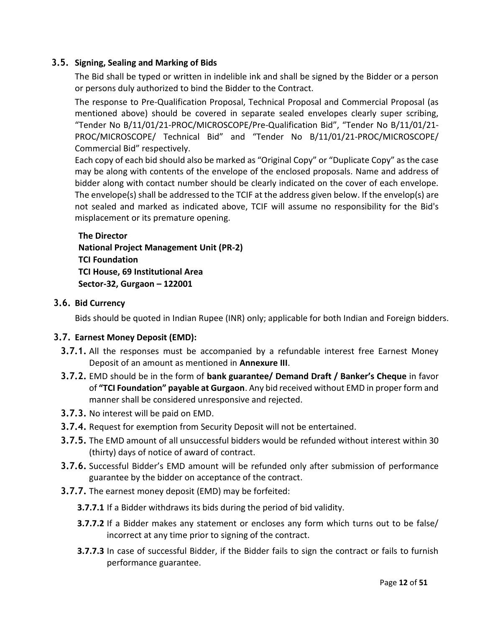## **3.5. Signing, Sealing and Marking of Bids**

The Bid shall be typed or written in indelible ink and shall be signed by the Bidder or a person or persons duly authorized to bind the Bidder to the Contract.

The response to Pre-Qualification Proposal, Technical Proposal and Commercial Proposal (as mentioned above) should be covered in separate sealed envelopes clearly super scribing, "Tender No B/11/01/21-PROC/MICROSCOPE/Pre-Qualification Bid", "Tender No B/11/01/21- PROC/MICROSCOPE/ Technical Bid" and "Tender No B/11/01/21-PROC/MICROSCOPE/ Commercial Bid" respectively.

Each copy of each bid should also be marked as "Original Copy" or "Duplicate Copy" as the case may be along with contents of the envelope of the enclosed proposals. Name and address of bidder along with contact number should be clearly indicated on the cover of each envelope. The envelope(s) shall be addressed to the TCIF at the address given below. If the envelop(s) are not sealed and marked as indicated above, TCIF will assume no responsibility for the Bid's misplacement or its premature opening.

## **The Director National Project Management Unit (PR-2) TCI Foundation TCI House, 69 Institutional Area Sector-32, Gurgaon – 122001**

### **3.6. Bid Currency**

Bids should be quoted in Indian Rupee (INR) only; applicable for both Indian and Foreign bidders.

### **3.7. Earnest Money Deposit (EMD):**

- **3.7.1.** All the responses must be accompanied by a refundable interest free Earnest Money Deposit of an amount as mentioned in **Annexure III**.
- **3.7.2.** EMD should be in the form of **bank guarantee/ Demand Draft / Banker's Cheque** in favor of **"TCI Foundation" payable at Gurgaon**. Any bid received without EMD in proper form and manner shall be considered unresponsive and rejected.
- **3.7.3.** No interest will be paid on EMD.
- **3.7.4.** Request for exemption from Security Deposit will not be entertained.
- **3.7.5.** The EMD amount of all unsuccessful bidders would be refunded without interest within 30 (thirty) days of notice of award of contract.
- **3.7.6.** Successful Bidder's EMD amount will be refunded only after submission of performance guarantee by the bidder on acceptance of the contract.
- **3.7.7.** The earnest money deposit (EMD) may be forfeited:
	- **3.7.7.1** If a Bidder withdraws its bids during the period of bid validity.
	- **3.7.7.2** If a Bidder makes any statement or encloses any form which turns out to be false/ incorrect at any time prior to signing of the contract.
	- **3.7.7.3** In case of successful Bidder, if the Bidder fails to sign the contract or fails to furnish performance guarantee.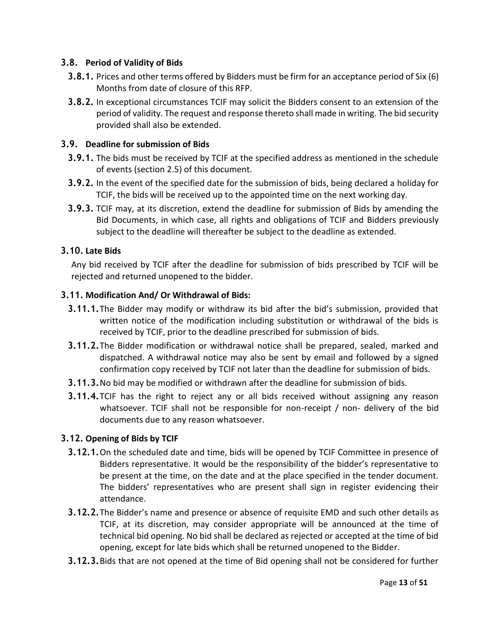## **3.8. Period of Validity of Bids**

- **3.8.1.** Prices and other terms offered by Bidders must be firm for an acceptance period of Six (6) Months from date of closure of this RFP.
- **3.8.2.** In exceptional circumstances TCIF may solicit the Bidders consent to an extension of the period of validity. The request and response thereto shall made in writing. The bid security provided shall also be extended.

### **3.9. Deadline for submission of Bids**

- **3.9.1.** The bids must be received by TCIF at the specified address as mentioned in the schedule of events (section 2.5) of this document.
- **3.9.2.** In the event of the specified date for the submission of bids, being declared a holiday for TCIF, the bids will be received up to the appointed time on the next working day.
- **3.9.3.** TCIF may, at its discretion, extend the deadline for submission of Bids by amending the Bid Documents, in which case, all rights and obligations of TCIF and Bidders previously subject to the deadline will thereafter be subject to the deadline as extended.

### **3.10. Late Bids**

Any bid received by TCIF after the deadline for submission of bids prescribed by TCIF will be rejected and returned unopened to the bidder.

### **3.11. Modification And/ Or Withdrawal of Bids:**

- **3.11.1.**The Bidder may modify or withdraw its bid after the bid's submission, provided that written notice of the modification including substitution or withdrawal of the bids is received by TCIF, prior to the deadline prescribed for submission of bids.
- **3.11.2.**The Bidder modification or withdrawal notice shall be prepared, sealed, marked and dispatched. A withdrawal notice may also be sent by email and followed by a signed confirmation copy received by TCIF not later than the deadline for submission of bids.
- **3.11.3.**No bid may be modified or withdrawn after the deadline for submission of bids.
- **3.11.4.**TCIF has the right to reject any or all bids received without assigning any reason whatsoever. TCIF shall not be responsible for non-receipt / non- delivery of the bid documents due to any reason whatsoever.

### **3.12. Opening of Bids by TCIF**

- **3.12.1.**On the scheduled date and time, bids will be opened by TCIF Committee in presence of Bidders representative. It would be the responsibility of the bidder's representative to be present at the time, on the date and at the place specified in the tender document. The bidders' representatives who are present shall sign in register evidencing their attendance.
- **3.12.2.**The Bidder's name and presence or absence of requisite EMD and such other details as TCIF, at its discretion, may consider appropriate will be announced at the time of technical bid opening. No bid shall be declared as rejected or accepted at the time of bid opening, except for late bids which shall be returned unopened to the Bidder.
- **3.12.3.**Bids that are not opened at the time of Bid opening shall not be considered for further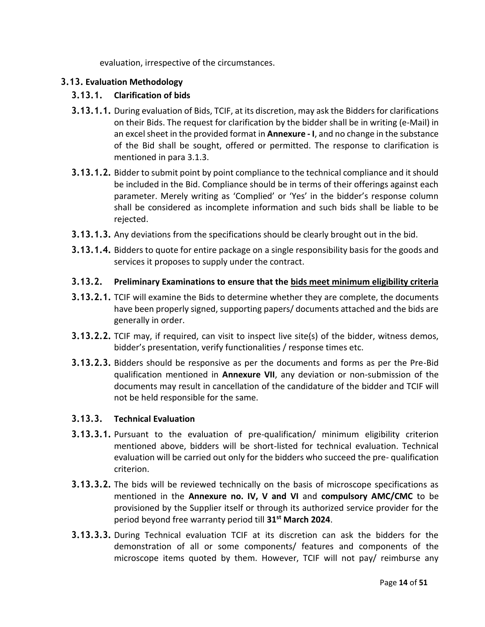evaluation, irrespective of the circumstances.

## **3.13. Evaluation Methodology**

## **3.13.1. Clarification of bids**

- **3.13.1.1.** During evaluation of Bids, TCIF, at its discretion, may ask the Bidders for clarifications on their Bids. The request for clarification by the bidder shall be in writing (e-Mail) in an excel sheet in the provided format in **Annexure - I**, and no change in the substance of the Bid shall be sought, offered or permitted. The response to clarification is mentioned in para 3.1.3.
- **3.13.1.2.** Bidder to submit point by point compliance to the technical compliance and it should be included in the Bid. Compliance should be in terms of their offerings against each parameter. Merely writing as 'Complied' or 'Yes' in the bidder's response column shall be considered as incomplete information and such bids shall be liable to be rejected.
- **3.13.1.3.** Any deviations from the specifications should be clearly brought out in the bid.
- **3.13.1.4.** Bidders to quote for entire package on a single responsibility basis for the goods and services it proposes to supply under the contract.

### **3.13.2. Preliminary Examinations to ensure that the bids meet minimum eligibility criteria**

- **3.13.2.1.** TCIF will examine the Bids to determine whether they are complete, the documents have been properly signed, supporting papers/ documents attached and the bids are generally in order.
- **3.13.2.2.** TCIF may, if required, can visit to inspect live site(s) of the bidder, witness demos, bidder's presentation, verify functionalities / response times etc.
- **3.13.2.3.** Bidders should be responsive as per the documents and forms as per the Pre-Bid qualification mentioned in **Annexure VII**, any deviation or non-submission of the documents may result in cancellation of the candidature of the bidder and TCIF will not be held responsible for the same.

### **3.13.3. Technical Evaluation**

- **3.13.3.1.** Pursuant to the evaluation of pre-qualification/ minimum eligibility criterion mentioned above, bidders will be short-listed for technical evaluation. Technical evaluation will be carried out only for the bidders who succeed the pre- qualification criterion.
- **3.13.3.2.** The bids will be reviewed technically on the basis of microscope specifications as mentioned in the **Annexure no. IV, V and VI** and **compulsory AMC/CMC** to be provisioned by the Supplier itself or through its authorized service provider for the period beyond free warranty period till **31st March 2024**.
- **3.13.3.3.** During Technical evaluation TCIF at its discretion can ask the bidders for the demonstration of all or some components/ features and components of the microscope items quoted by them. However, TCIF will not pay/ reimburse any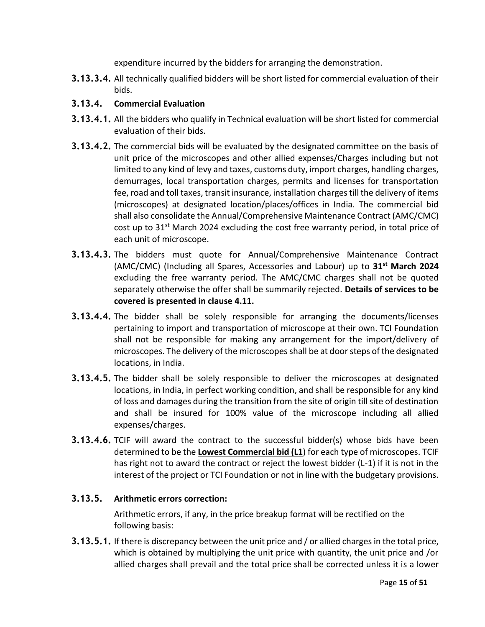expenditure incurred by the bidders for arranging the demonstration.

**3.13.3.4.** All technically qualified bidders will be short listed for commercial evaluation of their bids.

## **3.13.4. Commercial Evaluation**

- **3.13.4.1.** All the bidders who qualify in Technical evaluation will be short listed for commercial evaluation of their bids.
- **3.13.4.2.** The commercial bids will be evaluated by the designated committee on the basis of unit price of the microscopes and other allied expenses/Charges including but not limited to any kind of levy and taxes, customs duty, import charges, handling charges, demurrages, local transportation charges, permits and licenses for transportation fee, road and toll taxes, transit insurance, installation charges till the delivery of items (microscopes) at designated location/places/offices in India. The commercial bid shall also consolidate the Annual/Comprehensive Maintenance Contract (AMC/CMC) cost up to 31<sup>st</sup> March 2024 excluding the cost free warranty period, in total price of each unit of microscope.
- **3.13.4.3.** The bidders must quote for Annual/Comprehensive Maintenance Contract (AMC/CMC) (Including all Spares, Accessories and Labour) up to **31st March 2024** excluding the free warranty period. The AMC/CMC charges shall not be quoted separately otherwise the offer shall be summarily rejected. **Details of services to be covered is presented in clause 4.11.**
- **3.13.4.4.** The bidder shall be solely responsible for arranging the documents/licenses pertaining to import and transportation of microscope at their own. TCI Foundation shall not be responsible for making any arrangement for the import/delivery of microscopes. The delivery of the microscopes shall be at door steps of the designated locations, in India.
- **3.13.4.5.** The bidder shall be solely responsible to deliver the microscopes at designated locations, in India, in perfect working condition, and shall be responsible for any kind of loss and damages during the transition from the site of origin till site of destination and shall be insured for 100% value of the microscope including all allied expenses/charges.
- **3.13.4.6.** TCIF will award the contract to the successful bidder(s) whose bids have been determined to be the **Lowest Commercial bid (L1**) for each type of microscopes. TCIF has right not to award the contract or reject the lowest bidder (L-1) if it is not in the interest of the project or TCI Foundation or not in line with the budgetary provisions.

## **3.13.5. Arithmetic errors correction:**

Arithmetic errors, if any, in the price breakup format will be rectified on the following basis:

**3.13.5.1.** If there is discrepancy between the unit price and / or allied charges in the total price, which is obtained by multiplying the unit price with quantity, the unit price and /or allied charges shall prevail and the total price shall be corrected unless it is a lower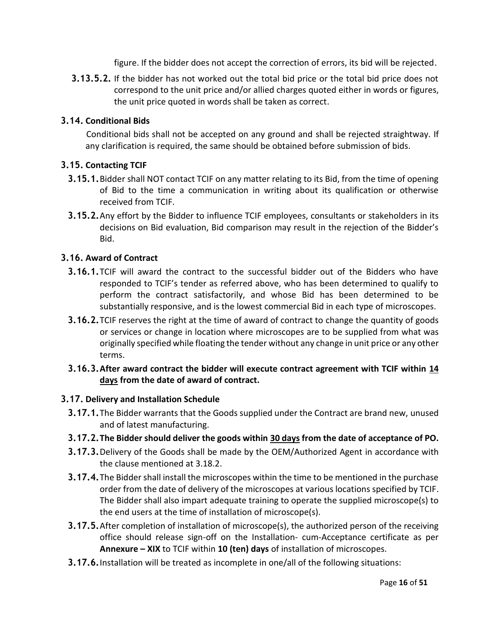figure. If the bidder does not accept the correction of errors, its bid will be rejected.

**3.13.5.2.** If the bidder has not worked out the total bid price or the total bid price does not correspond to the unit price and/or allied charges quoted either in words or figures, the unit price quoted in words shall be taken as correct.

## **3.14. Conditional Bids**

Conditional bids shall not be accepted on any ground and shall be rejected straightway. If any clarification is required, the same should be obtained before submission of bids.

### **3.15. Contacting TCIF**

- **3.15.1.**Bidder shall NOT contact TCIF on any matter relating to its Bid, from the time of opening of Bid to the time a communication in writing about its qualification or otherwise received from TCIF.
- **3.15.2.**Any effort by the Bidder to influence TCIF employees, consultants or stakeholders in its decisions on Bid evaluation, Bid comparison may result in the rejection of the Bidder's Bid.

### **3.16. Award of Contract**

- **3.16.1.**TCIF will award the contract to the successful bidder out of the Bidders who have responded to TCIF's tender as referred above, who has been determined to qualify to perform the contract satisfactorily, and whose Bid has been determined to be substantially responsive, and is the lowest commercial Bid in each type of microscopes.
- **3.16.2.**TCIF reserves the right at the time of award of contract to change the quantity of goods or services or change in location where microscopes are to be supplied from what was originally specified while floating the tender without any change in unit price or any other terms.
- **3.16.3.After award contract the bidder will execute contract agreement with TCIF within 14 days from the date of award of contract.**

### **3.17. Delivery and Installation Schedule**

- **3.17.1.**The Bidder warrants that the Goods supplied under the Contract are brand new, unused and of latest manufacturing.
- **3.17.2.The Bidder should deliver the goods within 30 days from the date of acceptance of PO.**
- **3.17.3.**Delivery of the Goods shall be made by the OEM/Authorized Agent in accordance with the clause mentioned at 3.18.2.
- **3.17.4.**The Bidder shall install the microscopes within the time to be mentioned in the purchase order from the date of delivery of the microscopes at various locations specified by TCIF. The Bidder shall also impart adequate training to operate the supplied microscope(s) to the end users at the time of installation of microscope(s).
- **3.17.5.**After completion of installation of microscope(s), the authorized person of the receiving office should release sign-off on the Installation- cum-Acceptance certificate as per **Annexure – XIX** to TCIF within **10 (ten) days** of installation of microscopes.
- **3.17.6.**Installation will be treated as incomplete in one/all of the following situations: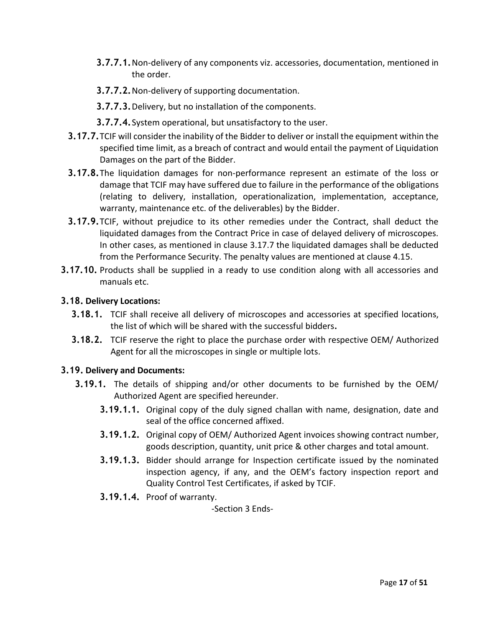- **3.7.7.1.**Non-delivery of any components viz. accessories, documentation, mentioned in the order.
- **3.7.7.2.**Non-delivery of supporting documentation.
- **3.7.7.3.**Delivery, but no installation of the components.
- **3.7.7.4.**System operational, but unsatisfactory to the user.
- **3.17.7.**TCIF will consider the inability of the Bidder to deliver or install the equipment within the specified time limit, as a breach of contract and would entail the payment of Liquidation Damages on the part of the Bidder.
- **3.17.8.**The liquidation damages for non-performance represent an estimate of the loss or damage that TCIF may have suffered due to failure in the performance of the obligations (relating to delivery, installation, operationalization, implementation, acceptance, warranty, maintenance etc. of the deliverables) by the Bidder.
- **3.17.9.**TCIF, without prejudice to its other remedies under the Contract, shall deduct the liquidated damages from the Contract Price in case of delayed delivery of microscopes. In other cases, as mentioned in clause 3.17.7 the liquidated damages shall be deducted from the Performance Security. The penalty values are mentioned at clause 4.15.
- **3.17.10.** Products shall be supplied in a ready to use condition along with all accessories and manuals etc.

### **3.18. Delivery Locations:**

- **3.18.1.** TCIF shall receive all delivery of microscopes and accessories at specified locations, the list of which will be shared with the successful bidders**.**
- **3.18.2.** TCIF reserve the right to place the purchase order with respective OEM/ Authorized Agent for all the microscopes in single or multiple lots.

### **3.19. Delivery and Documents:**

- **3.19.1.** The details of shipping and/or other documents to be furnished by the OEM/ Authorized Agent are specified hereunder.
	- **3.19.1.1.** Original copy of the duly signed challan with name, designation, date and seal of the office concerned affixed.
	- **3.19.1.2.** Original copy of OEM/ Authorized Agent invoices showing contract number, goods description, quantity, unit price & other charges and total amount.
	- **3.19.1.3.** Bidder should arrange for Inspection certificate issued by the nominated inspection agency, if any, and the OEM's factory inspection report and Quality Control Test Certificates, if asked by TCIF.
	- **3.19.1.4.** Proof of warranty.

-Section 3 Ends-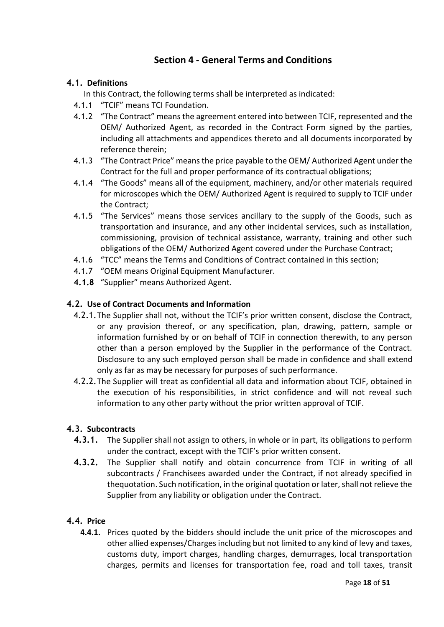## **Section 4 - General Terms and Conditions**

## **4.1. Definitions**

In this Contract, the following terms shall be interpreted as indicated:

- 4.1.1 "TCIF" means TCI Foundation.
- 4.1.2 "The Contract" means the agreement entered into between TCIF, represented and the OEM/ Authorized Agent, as recorded in the Contract Form signed by the parties, including all attachments and appendices thereto and all documents incorporated by reference therein;
- 4.1.3 "The Contract Price" means the price payable to the OEM/ Authorized Agent under the Contract for the full and proper performance of its contractual obligations;
- 4.1.4 "The Goods" means all of the equipment, machinery, and/or other materials required for microscopes which the OEM/ Authorized Agent is required to supply to TCIF under the Contract;
- 4.1.5 "The Services" means those services ancillary to the supply of the Goods, such as transportation and insurance, and any other incidental services, such as installation, commissioning, provision of technical assistance, warranty, training and other such obligations of the OEM/ Authorized Agent covered under the Purchase Contract;
- 4.1.6 "TCC" means the Terms and Conditions of Contract contained in this section;
- 4.1.7 "OEM means Original Equipment Manufacturer.
- **4.1.8** "Supplier" means Authorized Agent.

### **4.2. Use of Contract Documents and Information**

- 4.2.1.The Supplier shall not, without the TCIF's prior written consent, disclose the Contract, or any provision thereof, or any specification, plan, drawing, pattern, sample or information furnished by or on behalf of TCIF in connection therewith, to any person other than a person employed by the Supplier in the performance of the Contract. Disclosure to any such employed person shall be made in confidence and shall extend only as far as may be necessary for purposes of such performance.
- 4.2.2.The Supplier will treat as confidential all data and information about TCIF, obtained in the execution of his responsibilities, in strict confidence and will not reveal such information to any other party without the prior written approval of TCIF.

### **4.3. Subcontracts**

- **4.3.1.** The Supplier shall not assign to others, in whole or in part, its obligations to perform under the contract, except with the TCIF's prior written consent.
- **4.3.2.** The Supplier shall notify and obtain concurrence from TCIF in writing of all subcontracts / Franchisees awarded under the Contract, if not already specified in thequotation. Such notification, in the original quotation or later, shall not relieve the Supplier from any liability or obligation under the Contract.

## **4.4. Price**

**4.4.1.** Prices quoted by the bidders should include the unit price of the microscopes and other allied expenses/Charges including but not limited to any kind of levy and taxes, customs duty, import charges, handling charges, demurrages, local transportation charges, permits and licenses for transportation fee, road and toll taxes, transit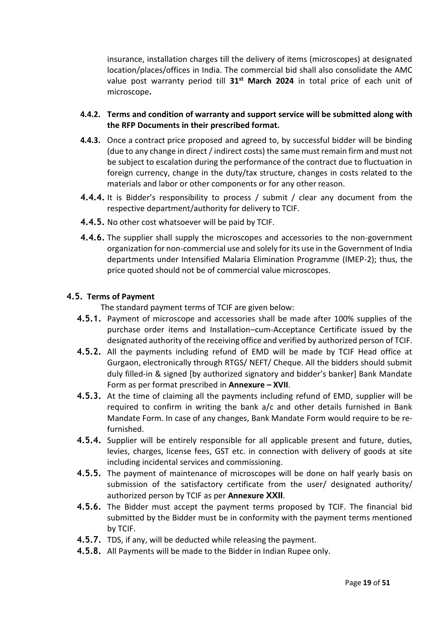insurance, installation charges till the delivery of items (microscopes) at designated location/places/offices in India. The commercial bid shall also consolidate the AMC value post warranty period till **31st March 2024** in total price of each unit of microscope**.**

- **4.4.2. Terms and condition of warranty and support service will be submitted along with the RFP Documents in their prescribed format.**
- **4.4.3.** Once a contract price proposed and agreed to, by successful bidder will be binding (due to any change in direct / indirect costs) the same must remain firm and must not be subject to escalation during the performance of the contract due to fluctuation in foreign currency, change in the duty/tax structure, changes in costs related to the materials and labor or other components or for any other reason.
- **4.4.4.** It is Bidder's responsibility to process / submit / clear any document from the respective department/authority for delivery to TCIF.
- **4.4.5.** No other cost whatsoever will be paid by TCIF.
- **4.4.6.** The supplier shall supply the microscopes and accessories to the non-government organization for non-commercial use and solely for its use in the Government of India departments under Intensified Malaria Elimination Programme (IMEP-2); thus, the price quoted should not be of commercial value microscopes.

### **4.5. Terms of Payment**

The standard payment terms of TCIF are given below:

- **4.5.1.** Payment of microscope and accessories shall be made after 100% supplies of the purchase order items and Installation–cum-Acceptance Certificate issued by the designated authority of the receiving office and verified by authorized person of TCIF.
- **4.5.2.** All the payments including refund of EMD will be made by TCIF Head office at Gurgaon, electronically through RTGS/ NEFT/ Cheque. All the bidders should submit duly filled-in & signed [by authorized signatory and bidder's banker] Bank Mandate Form as per format prescribed in **Annexure – XVII**.
- **4.5.3.** At the time of claiming all the payments including refund of EMD, supplier will be required to confirm in writing the bank a/c and other details furnished in Bank Mandate Form. In case of any changes, Bank Mandate Form would require to be refurnished.
- **4.5.4.** Supplier will be entirely responsible for all applicable present and future, duties, levies, charges, license fees, GST etc. in connection with delivery of goods at site including incidental services and commissioning.
- **4.5.5.** The payment of maintenance of microscopes will be done on half yearly basis on submission of the satisfactory certificate from the user/ designated authority/ authorized person by TCIF as per **Annexure XXII**.
- **4.5.6.** The Bidder must accept the payment terms proposed by TCIF. The financial bid submitted by the Bidder must be in conformity with the payment terms mentioned by TCIF.
- **4.5.7.** TDS, if any, will be deducted while releasing the payment.
- **4.5.8.** All Payments will be made to the Bidder in Indian Rupee only.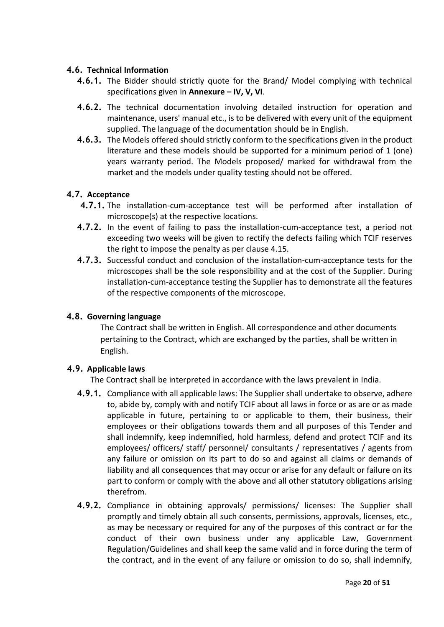## **4.6. Technical Information**

- **4.6.1.** The Bidder should strictly quote for the Brand/ Model complying with technical specifications given in **Annexure – IV, V, VI**.
- **4.6.2.** The technical documentation involving detailed instruction for operation and maintenance, users' manual etc., is to be delivered with every unit of the equipment supplied. The language of the documentation should be in English.
- **4.6.3.** The Models offered should strictly conform to the specifications given in the product literature and these models should be supported for a minimum period of 1 (one) years warranty period. The Models proposed/ marked for withdrawal from the market and the models under quality testing should not be offered.

## **4.7. Acceptance**

- **4.7.1.** The installation-cum-acceptance test will be performed after installation of microscope(s) at the respective locations.
- **4.7.2.** In the event of failing to pass the installation-cum-acceptance test, a period not exceeding two weeks will be given to rectify the defects failing which TCIF reserves the right to impose the penalty as per clause 4.15.
- **4.7.3.** Successful conduct and conclusion of the installation-cum-acceptance tests for the microscopes shall be the sole responsibility and at the cost of the Supplier. During installation-cum-acceptance testing the Supplier has to demonstrate all the features of the respective components of the microscope.

### **4.8. Governing language**

The Contract shall be written in English. All correspondence and other documents pertaining to the Contract, which are exchanged by the parties, shall be written in English.

### **4.9. Applicable laws**

The Contract shall be interpreted in accordance with the laws prevalent in India.

- **4.9.1.** Compliance with all applicable laws: The Supplier shall undertake to observe, adhere to, abide by, comply with and notify TCIF about all laws in force or as are or as made applicable in future, pertaining to or applicable to them, their business, their employees or their obligations towards them and all purposes of this Tender and shall indemnify, keep indemnified, hold harmless, defend and protect TCIF and its employees/ officers/ staff/ personnel/ consultants / representatives / agents from any failure or omission on its part to do so and against all claims or demands of liability and all consequences that may occur or arise for any default or failure on its part to conform or comply with the above and all other statutory obligations arising therefrom.
- **4.9.2.** Compliance in obtaining approvals/ permissions/ licenses: The Supplier shall promptly and timely obtain all such consents, permissions, approvals, licenses, etc., as may be necessary or required for any of the purposes of this contract or for the conduct of their own business under any applicable Law, Government Regulation/Guidelines and shall keep the same valid and in force during the term of the contract, and in the event of any failure or omission to do so, shall indemnify,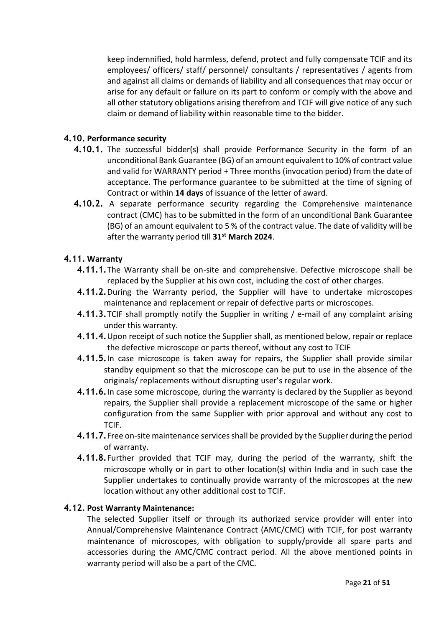keep indemnified, hold harmless, defend, protect and fully compensate TCIF and its employees/ officers/ staff/ personnel/ consultants / representatives / agents from and against all claims or demands of liability and all consequences that may occur or arise for any default or failure on its part to conform or comply with the above and all other statutory obligations arising therefrom and TCIF will give notice of any such claim or demand of liability within reasonable time to the bidder.

## **4.10. Performance security**

- **4.10.1.** The successful bidder(s) shall provide Performance Security in the form of an unconditional Bank Guarantee (BG) of an amount equivalent to 10% of contract value and valid for WARRANTY period + Three months (invocation period) from the date of acceptance. The performance guarantee to be submitted at the time of signing of Contract or within **14 days** of issuance of the letter of award.
- **4.10.2.** A separate performance security regarding the Comprehensive maintenance contract (CMC) has to be submitted in the form of an unconditional Bank Guarantee (BG) of an amount equivalent to 5 % of the contract value. The date of validity will be after the warranty period till **31st March 2024**.

### **4.11. Warranty**

- **4.11.1.**The Warranty shall be on-site and comprehensive. Defective microscope shall be replaced by the Supplier at his own cost, including the cost of other charges.
- **4.11.2.**During the Warranty period, the Supplier will have to undertake microscopes maintenance and replacement or repair of defective parts or microscopes.
- **4.11.3.**TCIF shall promptly notify the Supplier in writing / e-mail of any complaint arising under this warranty.
- **4.11.4.**Upon receipt of such notice the Supplier shall, as mentioned below, repair or replace the defective microscope or parts thereof, without any cost to TCIF
- **4.11.5.**In case microscope is taken away for repairs, the Supplier shall provide similar standby equipment so that the microscope can be put to use in the absence of the originals/ replacements without disrupting user's regular work.
- **4.11.6.**In case some microscope, during the warranty is declared by the Supplier as beyond repairs, the Supplier shall provide a replacement microscope of the same or higher configuration from the same Supplier with prior approval and without any cost to TCIF.
- **4.11.7.**Free on-site maintenance services shall be provided by the Supplier during the period of warranty.
- **4.11.8.**Further provided that TCIF may, during the period of the warranty, shift the microscope wholly or in part to other location(s) within India and in such case the Supplier undertakes to continually provide warranty of the microscopes at the new location without any other additional cost to TCIF.

### **4.12. Post Warranty Maintenance:**

The selected Supplier itself or through its authorized service provider will enter into Annual/Comprehensive Maintenance Contract (AMC/CMC) with TCIF, for post warranty maintenance of microscopes, with obligation to supply/provide all spare parts and accessories during the AMC/CMC contract period. All the above mentioned points in warranty period will also be a part of the CMC.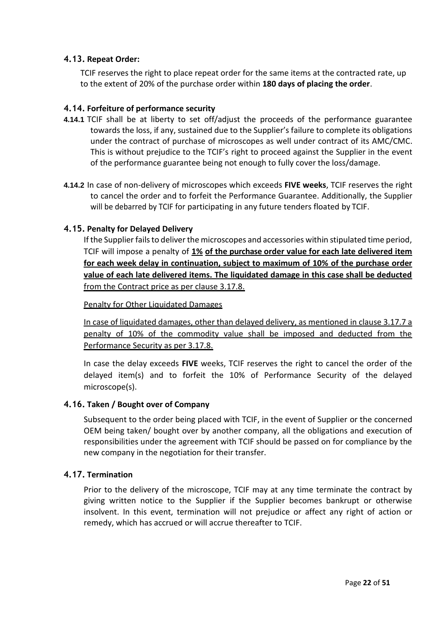## **4.13. Repeat Order:**

TCIF reserves the right to place repeat order for the same items at the contracted rate, up to the extent of 20% of the purchase order within **180 days of placing the order**.

### **4.14. Forfeiture of performance security**

- **4.14.1** TCIF shall be at liberty to set off/adjust the proceeds of the performance guarantee towards the loss, if any, sustained due to the Supplier's failure to complete its obligations under the contract of purchase of microscopes as well under contract of its AMC/CMC. This is without prejudice to the TCIF's right to proceed against the Supplier in the event of the performance guarantee being not enough to fully cover the loss/damage.
- **4.14.2** In case of non-delivery of microscopes which exceeds **FIVE weeks**, TCIF reserves the right to cancel the order and to forfeit the Performance Guarantee. Additionally, the Supplier will be debarred by TCIF for participating in any future tenders floated by TCIF.

### **4.15. Penalty for Delayed Delivery**

If the Supplier fails to deliver the microscopes and accessories within stipulated time period, TCIF will impose a penalty of **1% of the purchase order value for each late delivered item for each week delay in continuation, subject to maximum of 10% of the purchase order value of each late delivered items. The liquidated damage in this case shall be deducted** from the Contract price as per clause 3.17.8.

Penalty for Other Liquidated Damages

In case of liquidated damages, other than delayed delivery, as mentioned in clause 3.17.7 a penalty of 10% of the commodity value shall be imposed and deducted from the Performance Security as per 3.17.8.

In case the delay exceeds **FIVE** weeks, TCIF reserves the right to cancel the order of the delayed item(s) and to forfeit the 10% of Performance Security of the delayed microscope(s).

### **4.16. Taken / Bought over of Company**

Subsequent to the order being placed with TCIF, in the event of Supplier or the concerned OEM being taken/ bought over by another company, all the obligations and execution of responsibilities under the agreement with TCIF should be passed on for compliance by the new company in the negotiation for their transfer.

### **4.17. Termination**

Prior to the delivery of the microscope, TCIF may at any time terminate the contract by giving written notice to the Supplier if the Supplier becomes bankrupt or otherwise insolvent. In this event, termination will not prejudice or affect any right of action or remedy, which has accrued or will accrue thereafter to TCIF.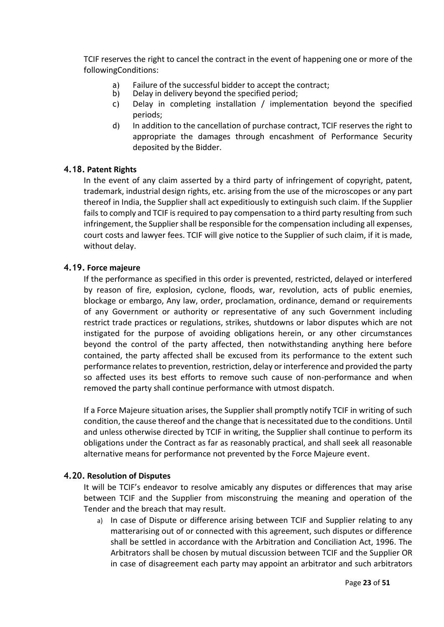TCIF reserves the right to cancel the contract in the event of happening one or more of the followingConditions:

- a) Failure of the successful bidder to accept the contract;<br>b) Delay in delivery beyond the specified period;
- Delay in delivery beyond the specified period;
- c) Delay in completing installation / implementation beyond the specified periods;
- d) In addition to the cancellation of purchase contract, TCIF reserves the right to appropriate the damages through encashment of Performance Security deposited by the Bidder.

### **4.18. Patent Rights**

In the event of any claim asserted by a third party of infringement of copyright, patent, trademark, industrial design rights, etc. arising from the use of the microscopes or any part thereof in India, the Supplier shall act expeditiously to extinguish such claim. If the Supplier fails to comply and TCIF is required to pay compensation to a third party resulting from such infringement, the Supplier shall be responsible for the compensation including all expenses, court costs and lawyer fees. TCIF will give notice to the Supplier of such claim, if it is made, without delay.

### **4.19. Force majeure**

If the performance as specified in this order is prevented, restricted, delayed or interfered by reason of fire, explosion, cyclone, floods, war, revolution, acts of public enemies, blockage or embargo, Any law, order, proclamation, ordinance, demand or requirements of any Government or authority or representative of any such Government including restrict trade practices or regulations, strikes, shutdowns or labor disputes which are not instigated for the purpose of avoiding obligations herein, or any other circumstances beyond the control of the party affected, then notwithstanding anything here before contained, the party affected shall be excused from its performance to the extent such performance relates to prevention, restriction, delay or interference and provided the party so affected uses its best efforts to remove such cause of non-performance and when removed the party shall continue performance with utmost dispatch.

If a Force Majeure situation arises, the Supplier shall promptly notify TCIF in writing of such condition, the cause thereof and the change that is necessitated due to the conditions. Until and unless otherwise directed by TCIF in writing, the Supplier shall continue to perform its obligations under the Contract as far as reasonably practical, and shall seek all reasonable alternative means for performance not prevented by the Force Majeure event.

### **4.20. Resolution of Disputes**

It will be TCIF's endeavor to resolve amicably any disputes or differences that may arise between TCIF and the Supplier from misconstruing the meaning and operation of the Tender and the breach that may result.

a) In case of Dispute or difference arising between TCIF and Supplier relating to any matterarising out of or connected with this agreement, such disputes or difference shall be settled in accordance with the Arbitration and Conciliation Act, 1996. The Arbitrators shall be chosen by mutual discussion between TCIF and the Supplier OR in case of disagreement each party may appoint an arbitrator and such arbitrators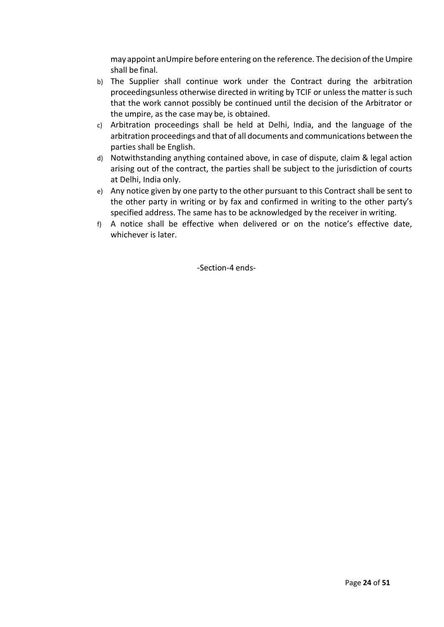may appoint anUmpire before entering on the reference. The decision of the Umpire shall be final.

- b) The Supplier shall continue work under the Contract during the arbitration proceedingsunless otherwise directed in writing by TCIF or unless the matter is such that the work cannot possibly be continued until the decision of the Arbitrator or the umpire, as the case may be, is obtained.
- c) Arbitration proceedings shall be held at Delhi, India, and the language of the arbitration proceedings and that of all documents and communications between the parties shall be English.
- d) Notwithstanding anything contained above, in case of dispute, claim & legal action arising out of the contract, the parties shall be subject to the jurisdiction of courts at Delhi, India only.
- e) Any notice given by one party to the other pursuant to this Contract shall be sent to the other party in writing or by fax and confirmed in writing to the other party's specified address. The same has to be acknowledged by the receiver in writing.
- f) A notice shall be effective when delivered or on the notice's effective date, whichever is later.

-Section-4 ends-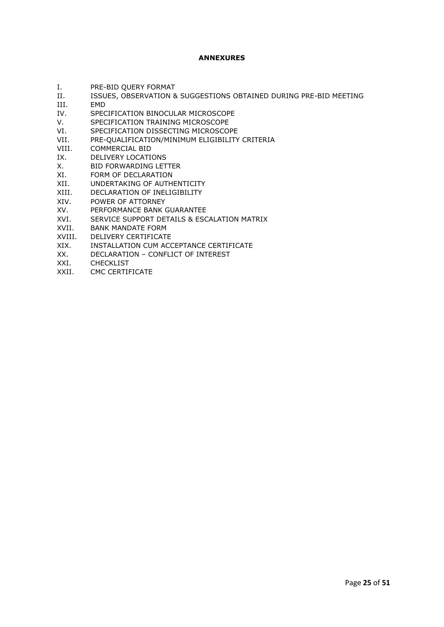#### **ANNEXURES**

- I. PRE-BID QUERY FORMAT
- II. ISSUES, OBSERVATION & SUGGESTIONS OBTAINED DURING PRE-BID MEETING
- III. EMD<br>IV. SPEC
- SPECIFICATION BINOCULAR MICROSCOPE
- V. SPECIFICATION TRAINING MICROSCOPE
- VI. SPECIFICATION DISSECTING MICROSCOPE
- VII. PRE-QUALIFICATION/MINIMUM ELIGIBILITY CRITERIA
- VIII. COMMERCIAL BID
- IX. DELIVERY LOCATIONS
- X. BID FORWARDING LETTER
- XI. FORM OF DECLARATION
- XII. UNDERTAKING OF AUTHENTICITY
- XIII. DECLARATION OF INELIGIBILITY
- XIV. POWER OF ATTORNEY
- XV. PERFORMANCE BANK GUARANTEE
- XVI. SERVICE SUPPORT DETAILS & ESCALATION MATRIX
- XVII. BANK MANDATE FORM
- XVIII. DELIVERY CERTIFICATE<br>XIX INSTALLATION CLIM ACC
- INSTALLATION CUM ACCEPTANCE CERTIFICATE
- XX. DECLARATION CONFLICT OF INTEREST
- XXI. CHECKLIST
- XXII. CMC CERTIFICATE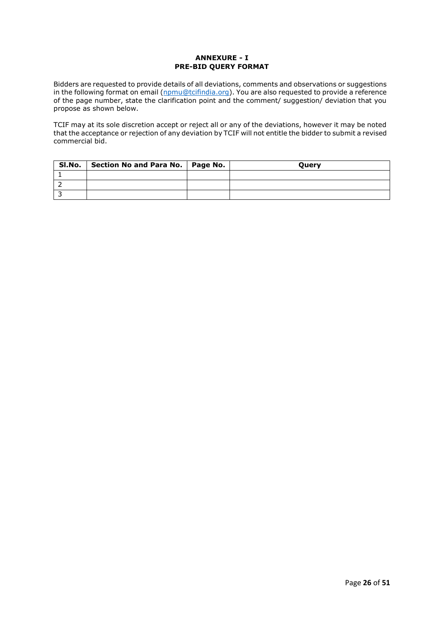#### **ANNEXURE - I PRE-BID QUERY FORMAT**

Bidders are requested to provide details of all deviations, comments and observations or suggestions in the following format on email [\(npmu@tcifindia.org\)](mailto:npmu@tcifindia.org). You are also requested to provide a reference of the page number, state the clarification point and the comment/ suggestion/ deviation that you propose as shown below.

TCIF may at its sole discretion accept or reject all or any of the deviations, however it may be noted that the acceptance or rejection of any deviation by TCIF will not entitle the bidder to submit a revised commercial bid.

| Sl.No. | Section No and Para No.   Page No. | <b>Ouerv</b> |
|--------|------------------------------------|--------------|
|        |                                    |              |
|        |                                    |              |
|        |                                    |              |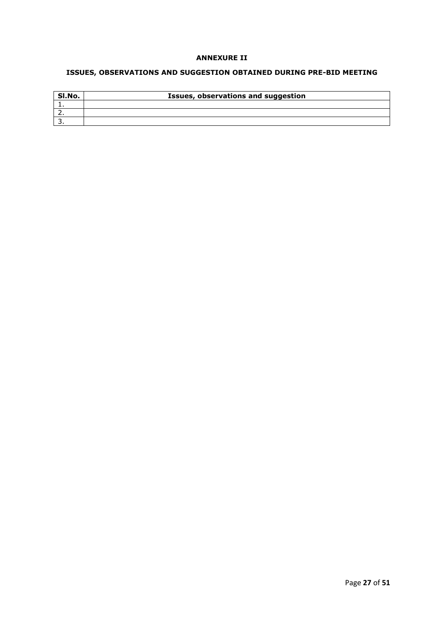#### **ANNEXURE II**

## **ISSUES, OBSERVATIONS AND SUGGESTION OBTAINED DURING PRE-BID MEETING**

| SI.No.   | Issues, observations and suggestion |
|----------|-------------------------------------|
|          |                                     |
| <u>.</u> |                                     |
|          |                                     |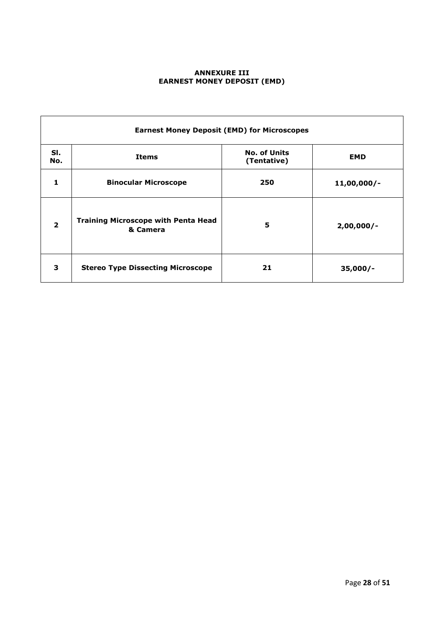#### **ANNEXURE III EARNEST MONEY DEPOSIT (EMD)**

|                | <b>Earnest Money Deposit (EMD) for Microscopes</b>     |                                    |               |  |  |  |
|----------------|--------------------------------------------------------|------------------------------------|---------------|--|--|--|
| SI.<br>No.     | <b>Items</b>                                           | <b>No. of Units</b><br>(Tentative) |               |  |  |  |
| 1              | <b>Binocular Microscope</b>                            | 250                                | $11,00,000/-$ |  |  |  |
| $\overline{2}$ | <b>Training Microscope with Penta Head</b><br>& Camera | 5                                  | $2,00,000/-$  |  |  |  |
| 3              | <b>Stereo Type Dissecting Microscope</b>               | 21                                 | $35,000/-$    |  |  |  |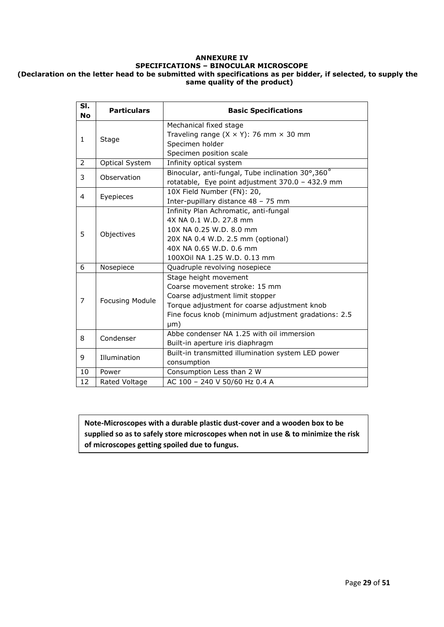#### **ANNEXURE IV SPECIFICATIONS – BINOCULAR MICROSCOPE (Declaration on the letter head to be submitted with specifications as per bidder, if selected, to supply the same quality of the product)**

| SI.<br><b>No</b> | <b>Particulars</b> | <b>Basic Specifications</b>                           |  |  |  |
|------------------|--------------------|-------------------------------------------------------|--|--|--|
|                  |                    | Mechanical fixed stage                                |  |  |  |
| $\mathbf{1}$     | Stage              | Traveling range $(X \times Y)$ : 76 mm $\times$ 30 mm |  |  |  |
|                  |                    | Specimen holder                                       |  |  |  |
|                  |                    | Specimen position scale                               |  |  |  |
| 2                | Optical System     | Infinity optical system                               |  |  |  |
| 3                | Observation        | Binocular, anti-fungal, Tube inclination 30°,360°     |  |  |  |
|                  |                    | rotatable, Eye point adjustment 370.0 - 432.9 mm      |  |  |  |
| $\overline{4}$   | Eyepieces          | 10X Field Number (FN): 20,                            |  |  |  |
|                  |                    | Inter-pupillary distance 48 - 75 mm                   |  |  |  |
|                  |                    | Infinity Plan Achromatic, anti-fungal                 |  |  |  |
|                  |                    | 4X NA 0.1 W.D. 27.8 mm                                |  |  |  |
| 5                | Objectives         | 10X NA 0.25 W.D. 8.0 mm                               |  |  |  |
|                  |                    | 20X NA 0.4 W.D. 2.5 mm (optional)                     |  |  |  |
|                  |                    | 40X NA 0.65 W.D. 0.6 mm                               |  |  |  |
|                  |                    | 100XOil NA 1.25 W.D. 0.13 mm                          |  |  |  |
| 6                | Nosepiece          | Quadruple revolving nosepiece                         |  |  |  |
|                  |                    | Stage height movement                                 |  |  |  |
|                  |                    | Coarse movement stroke: 15 mm                         |  |  |  |
| $\overline{7}$   | Focusing Module    | Coarse adjustment limit stopper                       |  |  |  |
|                  |                    | Torque adjustment for coarse adjustment knob          |  |  |  |
|                  |                    | Fine focus knob (minimum adjustment gradations: 2.5   |  |  |  |
|                  |                    | µm)                                                   |  |  |  |
| 8                | Condenser          | Abbe condenser NA 1.25 with oil immersion             |  |  |  |
|                  |                    | Built-in aperture iris diaphragm                      |  |  |  |
| 9                | Illumination       | Built-in transmitted illumination system LED power    |  |  |  |
|                  |                    | consumption                                           |  |  |  |
| 10               | Power              | Consumption Less than 2 W                             |  |  |  |
| 12               | Rated Voltage      | AC 100 - 240 V 50/60 Hz 0.4 A                         |  |  |  |

**Note-Microscopes with a durable plastic dust-cover and a wooden box to be supplied so as to safely store microscopes when not in use & to minimize the risk of microscopes getting spoiled due to fungus.**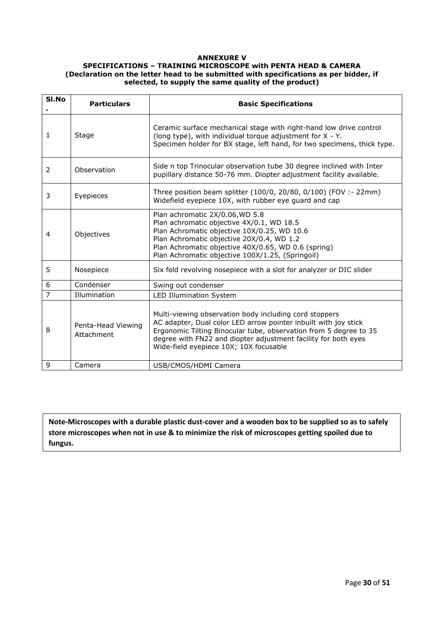#### **ANNEXURE V**

#### **SPECIFICATIONS – TRAINING MICROSCOPE with PENTA HEAD & CAMERA (Declaration on the letter head to be submitted with specifications as per bidder, if selected, to supply the same quality of the product)**

| SI.No          | <b>Particulars</b>               | <b>Basic Specifications</b>                                                                                                                                                                                                                                                                                |  |  |
|----------------|----------------------------------|------------------------------------------------------------------------------------------------------------------------------------------------------------------------------------------------------------------------------------------------------------------------------------------------------------|--|--|
| 1              | Stage                            | Ceramic surface mechanical stage with right-hand low drive control<br>(long type), with individual torque adjustment for X - Y.<br>Specimen holder for BX stage, left hand, for two specimens, thick type.                                                                                                 |  |  |
| 2              | Observation                      | Side n top Trinocular observation tube 30 degree inclined with Inter<br>pupillary distance 50-76 mm. Diopter adjustment facility available.                                                                                                                                                                |  |  |
| 3              | Eyepieces                        | Three position beam splitter (100/0, 20/80, 0/100) (FOV :- 22mm)<br>Widefield eyepiece 10X, with rubber eye guard and cap                                                                                                                                                                                  |  |  |
| 4              | Objectives                       | Plan achromatic 2X/0.06, WD 5.8<br>Plan achromatic objective 4X/0.1, WD 18.5<br>Plan Achromatic objective 10X/0.25, WD 10.6<br>Plan Achromatic objective 20X/0.4, WD 1.2<br>Plan Achromatic objective 40X/0.65, WD 0.6 (spring)<br>Plan Achromatic objective 100X/1.25, (Springoil)                        |  |  |
| 5              | Nosepiece                        | Six fold revolving nosepiece with a slot for analyzer or DIC slider                                                                                                                                                                                                                                        |  |  |
| 6              | Condenser                        | Swing out condenser                                                                                                                                                                                                                                                                                        |  |  |
| $\overline{7}$ | Illumination                     | LED Illumination System                                                                                                                                                                                                                                                                                    |  |  |
| 8              | Penta-Head Viewing<br>Attachment | Multi-viewing observation body including cord stoppers<br>AC adapter, Dual color LED arrow pointer inbuilt with joy stick<br>Ergonomic Tilting Binocular tube, observation from 5 degree to 35<br>degree with FN22 and diopter adjustment facility for both eyes<br>Wide-field eyepiece 10X; 10X focusable |  |  |
| 9              | Camera                           | USB/CMOS/HDMI Camera                                                                                                                                                                                                                                                                                       |  |  |

**Note-Microscopes with a durable plastic dust-cover and a wooden box to be supplied so as to safely store microscopes when not in use & to minimize the risk of microscopes getting spoiled due to fungus.**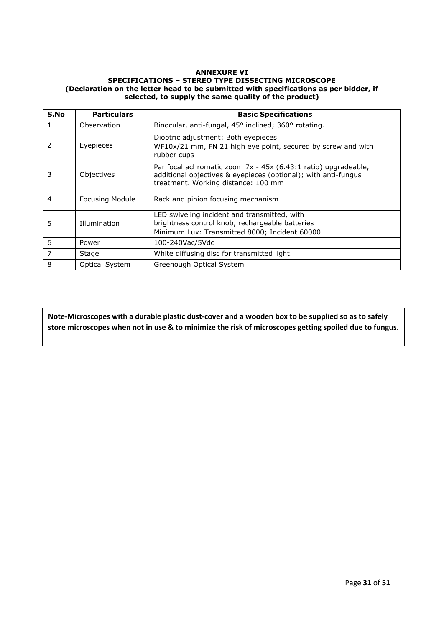#### **ANNEXURE VI SPECIFICATIONS – STEREO TYPE DISSECTING MICROSCOPE (Declaration on the letter head to be submitted with specifications as per bidder, if selected, to supply the same quality of the product)**

| S.No | <b>Particulars</b>     | <b>Basic Specifications</b>                                                                                                                                             |  |  |
|------|------------------------|-------------------------------------------------------------------------------------------------------------------------------------------------------------------------|--|--|
|      | Observation            | Binocular, anti-fungal, 45° inclined; 360° rotating.                                                                                                                    |  |  |
| 2    | Eyepieces              | Dioptric adjustment: Both eyepieces<br>WF10x/21 mm, FN 21 high eye point, secured by screw and with<br>rubber cups                                                      |  |  |
| 3    | Objectives             | Par focal achromatic zoom 7x - 45x (6.43:1 ratio) upgradeable,<br>additional objectives & eyepieces (optional); with anti-fungus<br>treatment. Working distance: 100 mm |  |  |
| 4    | <b>Focusing Module</b> | Rack and pinion focusing mechanism                                                                                                                                      |  |  |
| 5    | Illumination           | LED swiveling incident and transmitted, with<br>brightness control knob, rechargeable batteries<br>Minimum Lux: Transmitted 8000; Incident 60000                        |  |  |
| 6    | Power                  | 100-240Vac/5Vdc                                                                                                                                                         |  |  |
| 7    | Stage                  | White diffusing disc for transmitted light.                                                                                                                             |  |  |
| 8    | <b>Optical System</b>  | Greenough Optical System                                                                                                                                                |  |  |

**Note-Microscopes with a durable plastic dust-cover and a wooden box to be supplied so as to safely store microscopes when not in use & to minimize the risk of microscopes getting spoiled due to fungus.**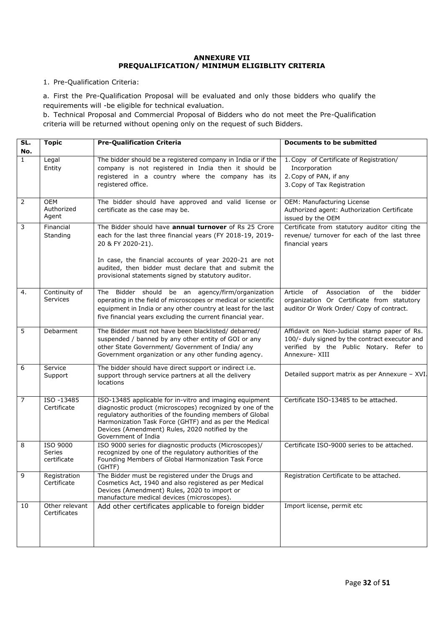#### **ANNEXURE VII PREQUALIFICATION/ MINIMUM ELIGIBLITY CRITERIA**

#### 1. Pre-Qualification Criteria:

a. First the Pre-Qualification Proposal will be evaluated and only those bidders who qualify the requirements will -be eligible for technical evaluation.

b. Technical Proposal and Commercial Proposal of Bidders who do not meet the Pre-Qualification criteria will be returned without opening only on the request of such Bidders.

| SL.            | <b>Topic</b>                      | <b>Pre-Qualification Criteria</b>                                                                                                                                                                                                                                                                                    | <b>Documents to be submitted</b>                                                                                                                            |
|----------------|-----------------------------------|----------------------------------------------------------------------------------------------------------------------------------------------------------------------------------------------------------------------------------------------------------------------------------------------------------------------|-------------------------------------------------------------------------------------------------------------------------------------------------------------|
| No.            |                                   |                                                                                                                                                                                                                                                                                                                      |                                                                                                                                                             |
| $\mathbf{1}$   | Legal<br>Entity                   | The bidder should be a registered company in India or if the<br>company is not registered in India then it should be<br>registered in a country where the company has its<br>registered office.                                                                                                                      | 1. Copy of Certificate of Registration/<br>Incorporation<br>2. Copy of PAN, if any<br>3. Copy of Tax Registration                                           |
| $\overline{2}$ | OEM<br>Authorized<br>Agent        | The bidder should have approved and valid license or<br>certificate as the case may be.                                                                                                                                                                                                                              | OEM: Manufacturing License<br>Authorized agent: Authorization Certificate<br>issued by the OEM                                                              |
| 3              | Financial<br>Standing             | The Bidder should have annual turnover of Rs 25 Crore<br>each for the last three financial years (FY 2018-19, 2019-<br>20 & FY 2020-21).<br>In case, the financial accounts of year 2020-21 are not<br>audited, then bidder must declare that and submit the<br>provisional statements signed by statutory auditor.  | Certificate from statutory auditor citing the<br>revenue/ turnover for each of the last three<br>financial years                                            |
| 4.             | Continuity of<br><b>Services</b>  | The Bidder should be an agency/firm/organization<br>operating in the field of microscopes or medical or scientific<br>equipment in India or any other country at least for the last<br>five financial years excluding the current financial year.                                                                    | Article<br>of<br>Association<br>of the<br>bidder<br>organization Or Certificate from statutory<br>auditor Or Work Order/ Copy of contract.                  |
| $\overline{5}$ | Debarment                         | The Bidder must not have been blacklisted/ debarred/<br>suspended / banned by any other entity of GOI or any<br>other State Government/ Government of India/ any<br>Government organization or any other funding agency.                                                                                             | Affidavit on Non-Judicial stamp paper of Rs.<br>100/- duly signed by the contract executor and<br>verified by the Public Notary. Refer to<br>Annexure- XIII |
| 6              | Service<br>Support                | The bidder should have direct support or indirect i.e.<br>support through service partners at all the delivery<br>locations                                                                                                                                                                                          | Detailed support matrix as per Annexure - XVI.                                                                                                              |
| $\overline{7}$ | ISO -13485<br>Certificate         | ISO-13485 applicable for in-vitro and imaging equipment<br>diagnostic product (microscopes) recognized by one of the<br>regulatory authorities of the founding members of Global<br>Harmonization Task Force (GHTF) and as per the Medical<br>Devices (Amendment) Rules, 2020 notified by the<br>Government of India | Certificate ISO-13485 to be attached.                                                                                                                       |
| 8              | ISO 9000<br>Series<br>certificate | ISO 9000 series for diagnostic products (Microscopes)/<br>recognized by one of the regulatory authorities of the<br>Founding Members of Global Harmonization Task Force<br>(GHTF)                                                                                                                                    | Certificate ISO-9000 series to be attached.                                                                                                                 |
| 9              | Registration<br>Certificate       | The Bidder must be registered under the Drugs and<br>Cosmetics Act, 1940 and also registered as per Medical<br>Devices (Amendment) Rules, 2020 to import or<br>manufacture medical devices (microscopes).                                                                                                            | Registration Certificate to be attached.                                                                                                                    |
| 10             | Other relevant<br>Certificates    | Add other certificates applicable to foreign bidder                                                                                                                                                                                                                                                                  | Import license, permit etc                                                                                                                                  |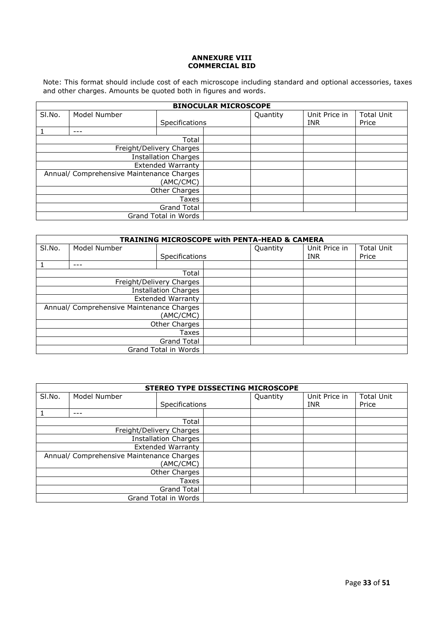#### **ANNEXURE VIII COMMERCIAL BID**

Note: This format should include cost of each microscope including standard and optional accessories, taxes and other charges. Amounts be quoted both in figures and words.

|                             | <b>BINOCULAR MICROSCOPE</b>               |                          |  |          |               |                   |
|-----------------------------|-------------------------------------------|--------------------------|--|----------|---------------|-------------------|
| SI.No.                      | Model Number                              |                          |  | Quantity | Unit Price in | <b>Total Unit</b> |
|                             |                                           | Specifications           |  |          | <b>INR</b>    | Price             |
|                             |                                           |                          |  |          |               |                   |
|                             |                                           | Total                    |  |          |               |                   |
| Freight/Delivery Charges    |                                           |                          |  |          |               |                   |
| <b>Installation Charges</b> |                                           |                          |  |          |               |                   |
|                             |                                           | <b>Extended Warranty</b> |  |          |               |                   |
|                             | Annual/ Comprehensive Maintenance Charges |                          |  |          |               |                   |
| (AMC/CMC)                   |                                           |                          |  |          |               |                   |
| Other Charges               |                                           |                          |  |          |               |                   |
| Taxes                       |                                           |                          |  |          |               |                   |
| <b>Grand Total</b>          |                                           |                          |  |          |               |                   |
| Grand Total in Words        |                                           |                          |  |          |               |                   |

|                                                        | <b>TRAINING MICROSCOPE with PENTA-HEAD &amp; CAMERA</b> |                          |  |          |               |                   |
|--------------------------------------------------------|---------------------------------------------------------|--------------------------|--|----------|---------------|-------------------|
| SI.No.                                                 | Model Number                                            |                          |  | Quantity | Unit Price in | <b>Total Unit</b> |
|                                                        |                                                         | Specifications           |  |          | <b>INR</b>    | Price             |
|                                                        |                                                         |                          |  |          |               |                   |
|                                                        |                                                         | Total                    |  |          |               |                   |
|                                                        |                                                         | Freight/Delivery Charges |  |          |               |                   |
| <b>Installation Charges</b>                            |                                                         |                          |  |          |               |                   |
| <b>Extended Warranty</b>                               |                                                         |                          |  |          |               |                   |
| Annual/ Comprehensive Maintenance Charges<br>(AMC/CMC) |                                                         |                          |  |          |               |                   |
| Other Charges                                          |                                                         |                          |  |          |               |                   |
| Taxes                                                  |                                                         |                          |  |          |               |                   |
| <b>Grand Total</b>                                     |                                                         |                          |  |          |               |                   |
| Grand Total in Words                                   |                                                         |                          |  |          |               |                   |

|                                           |              |                             | STEREO TYPE DISSECTING MICROSCOPE |               |                   |
|-------------------------------------------|--------------|-----------------------------|-----------------------------------|---------------|-------------------|
| SI.No.                                    | Model Number |                             | Quantity                          | Unit Price in | <b>Total Unit</b> |
|                                           |              | Specifications              |                                   | INR.          | Price             |
|                                           | ---          |                             |                                   |               |                   |
|                                           |              | Total                       |                                   |               |                   |
|                                           |              | Freight/Delivery Charges    |                                   |               |                   |
|                                           |              | <b>Installation Charges</b> |                                   |               |                   |
| <b>Extended Warranty</b>                  |              |                             |                                   |               |                   |
| Annual/ Comprehensive Maintenance Charges |              |                             |                                   |               |                   |
|                                           |              | (AMC/CMC)                   |                                   |               |                   |
| Other Charges                             |              |                             |                                   |               |                   |
| <b>Taxes</b>                              |              |                             |                                   |               |                   |
| <b>Grand Total</b>                        |              |                             |                                   |               |                   |
|                                           |              | Grand Total in Words        |                                   |               |                   |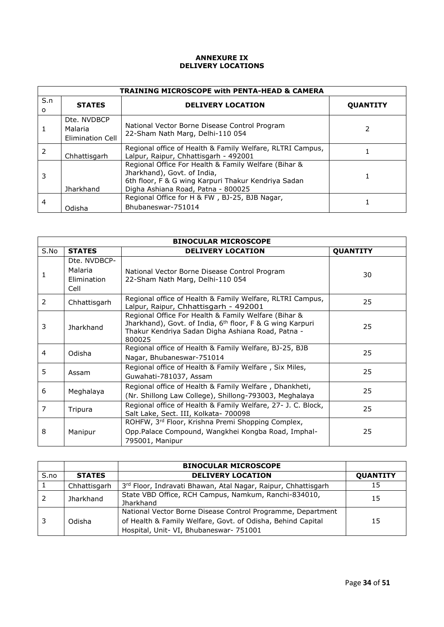#### **ANNEXURE IX DELIVERY LOCATIONS**

|                 | <b>TRAINING MICROSCOPE with PENTA-HEAD &amp; CAMERA</b> |                                                                                                                                                                                  |                 |  |  |
|-----------------|---------------------------------------------------------|----------------------------------------------------------------------------------------------------------------------------------------------------------------------------------|-----------------|--|--|
| S.n<br>$\Omega$ | <b>STATES</b>                                           | <b>DELIVERY LOCATION</b>                                                                                                                                                         | <b>OUANTITY</b> |  |  |
|                 | Dte. NVDBCP<br>Malaria<br>Elimination Cell              | National Vector Borne Disease Control Program<br>22-Sham Nath Marg, Delhi-110 054                                                                                                |                 |  |  |
| 2               | Chhattisgarh                                            | Regional office of Health & Family Welfare, RLTRI Campus,<br>Lalpur, Raipur, Chhattisgarh - 492001                                                                               |                 |  |  |
| 3               | <b>Jharkhand</b>                                        | Regional Office For Health & Family Welfare (Bihar &<br>Jharkhand), Govt. of India,<br>6th floor, F & G wing Karpuri Thakur Kendriya Sadan<br>Digha Ashiana Road, Patna - 800025 |                 |  |  |
| 4               | Odisha                                                  | Regional Office for H & FW, BJ-25, BJB Nagar,<br>Bhubaneswar-751014                                                                                                              |                 |  |  |

|               | <b>BINOCULAR MICROSCOPE</b>                           |                                                                                                                                                                                              |                 |  |  |  |
|---------------|-------------------------------------------------------|----------------------------------------------------------------------------------------------------------------------------------------------------------------------------------------------|-----------------|--|--|--|
| S.No          | <b>STATES</b>                                         | <b>DELIVERY LOCATION</b>                                                                                                                                                                     | <b>QUANTITY</b> |  |  |  |
|               | Dte. NVDBCP-<br>Malaria<br><b>Elimination</b><br>Cell | National Vector Borne Disease Control Program<br>22-Sham Nath Marg, Delhi-110 054                                                                                                            | 30              |  |  |  |
| $\mathcal{P}$ | Chhattisgarh                                          | Regional office of Health & Family Welfare, RLTRI Campus,<br>Lalpur, Raipur, Chhattisgarh - 492001                                                                                           | 25              |  |  |  |
| 3             | <b>Jharkhand</b>                                      | Regional Office For Health & Family Welfare (Bihar &<br>Jharkhand), Govt. of India, 6 <sup>th</sup> floor, F & G wing Karpuri<br>Thakur Kendriya Sadan Digha Ashiana Road, Patna -<br>800025 | 25              |  |  |  |
| 4             | Odisha                                                | Regional office of Health & Family Welfare, BJ-25, BJB<br>Nagar, Bhubaneswar-751014                                                                                                          | 25              |  |  |  |
| 5.            | Assam                                                 | Regional office of Health & Family Welfare, Six Miles,<br>Guwahati-781037, Assam                                                                                                             | 25              |  |  |  |
| 6             | Meghalaya                                             | Regional office of Health & Family Welfare, Dhankheti,<br>(Nr. Shillong Law College), Shillong-793003, Meghalaya                                                                             |                 |  |  |  |
| 7             | Tripura                                               | Regional office of Health & Family Welfare, 27- J. C. Block,<br>Salt Lake, Sect. III, Kolkata- 700098                                                                                        | 25              |  |  |  |
| 8             | Manipur                                               | ROHFW, 3rd Floor, Krishna Premi Shopping Complex,<br>Opp.Palace Compound, Wangkhei Kongba Road, Imphal-<br>795001, Manipur                                                                   | 25              |  |  |  |

|      |                  | <b>BINOCULAR MICROSCOPE</b>                                                                                                                                           |                 |
|------|------------------|-----------------------------------------------------------------------------------------------------------------------------------------------------------------------|-----------------|
| S.no | <b>STATES</b>    | <b>DELIVERY LOCATION</b>                                                                                                                                              | <b>QUANTITY</b> |
|      | Chhattisgarh     | 3rd Floor, Indravati Bhawan, Atal Nagar, Raipur, Chhattisgarh                                                                                                         | 15              |
| 2    | <b>Jharkhand</b> | State VBD Office, RCH Campus, Namkum, Ranchi-834010,<br>Jharkhand                                                                                                     | 15              |
|      | Odisha           | National Vector Borne Disease Control Programme, Department<br>of Health & Family Welfare, Govt. of Odisha, Behind Capital<br>Hospital, Unit- VI, Bhubaneswar- 751001 | 15              |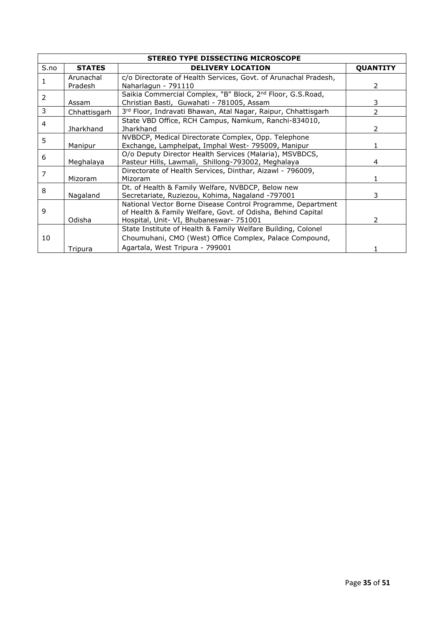| <b>STEREO TYPE DISSECTING MICROSCOPE</b> |                  |                                                                        |                 |  |  |
|------------------------------------------|------------------|------------------------------------------------------------------------|-----------------|--|--|
| S.no                                     | <b>STATES</b>    | <b>DELIVERY LOCATION</b>                                               | <b>QUANTITY</b> |  |  |
|                                          | Arunachal        | c/o Directorate of Health Services, Govt. of Arunachal Pradesh,        |                 |  |  |
|                                          | Pradesh          | Naharlagun - 791110                                                    | 2               |  |  |
| 2                                        |                  | Saikia Commercial Complex, "B" Block, 2 <sup>nd</sup> Floor, G.S.Road, |                 |  |  |
|                                          | Assam            | Christian Basti, Guwahati - 781005, Assam                              | 3               |  |  |
| 3                                        | Chhattisgarh     | 3rd Floor, Indravati Bhawan, Atal Nagar, Raipur, Chhattisgarh          | 2               |  |  |
| 4                                        |                  | State VBD Office, RCH Campus, Namkum, Ranchi-834010,                   |                 |  |  |
|                                          | <b>Jharkhand</b> | Jharkhand                                                              | 2               |  |  |
| 5                                        |                  | NVBDCP, Medical Directorate Complex, Opp. Telephone                    |                 |  |  |
|                                          | Manipur          | Exchange, Lamphelpat, Imphal West- 795009, Manipur                     |                 |  |  |
| 6                                        |                  | O/o Deputy Director Health Services (Malaria), MSVBDCS,                |                 |  |  |
|                                          | Meghalaya        | Pasteur Hills, Lawmali, Shillong-793002, Meghalaya                     | 4               |  |  |
| 7                                        |                  | Directorate of Health Services, Dinthar, Aizawl - 796009,              |                 |  |  |
|                                          | Mizoram          | Mizoram                                                                |                 |  |  |
| 8                                        |                  | Dt. of Health & Family Welfare, NVBDCP, Below new                      |                 |  |  |
|                                          | Nagaland         | Secretariate, Ruziezou, Kohima, Nagaland -797001                       | 3               |  |  |
|                                          |                  | National Vector Borne Disease Control Programme, Department            |                 |  |  |
| 9                                        |                  | of Health & Family Welfare, Govt. of Odisha, Behind Capital            |                 |  |  |
|                                          | Odisha           | Hospital, Unit- VI, Bhubaneswar- 751001                                | 2               |  |  |
|                                          |                  | State Institute of Health & Family Welfare Building, Colonel           |                 |  |  |
| 10                                       |                  | Choumuhani, CMO (West) Office Complex, Palace Compound,                |                 |  |  |
|                                          | Tripura          | Agartala, West Tripura - 799001                                        |                 |  |  |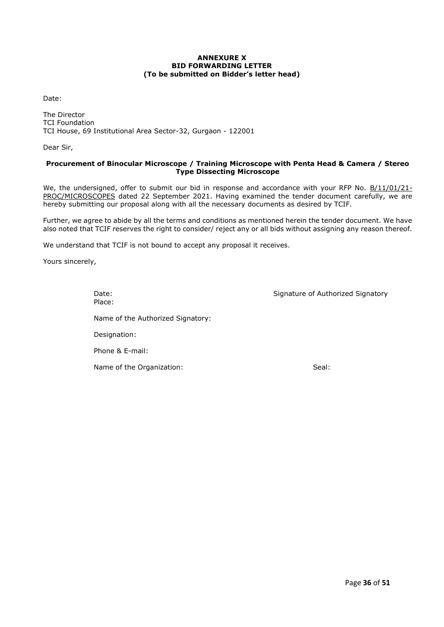#### **ANNEXURE X BID FORWARDING LETTER (To be submitted on Bidder's letter head)**

Date:

The Director TCI Foundation TCI House, 69 Institutional Area Sector-32, Gurgaon - 122001

Dear Sir,

#### **Procurement of Binocular Microscope / Training Microscope with Penta Head & Camera / Stereo Type Dissecting Microscope**

We, the undersigned, offer to submit our bid in response and accordance with your RFP No. B/11/01/21-PROC/MICROSCOPES dated 22 September 2021. Having examined the tender document carefully, we are hereby submitting our proposal along with all the necessary documents as desired by TCIF.

Further, we agree to abide by all the terms and conditions as mentioned herein the tender document. We have also noted that TCIF reserves the right to consider/ reject any or all bids without assigning any reason thereof.

We understand that TCIF is not bound to accept any proposal it receives.

Yours sincerely,

Date: Case of Authorized Signature of Authorized Signatory Place: Name of the Authorized Signatory: Designation: Phone & E-mail: Name of the Organization: Seal: Seal: Seal: Seal: Seal: Seal: Seal: Seal: Seal: Seal: Seal: Seal: Seal: Seal: Seal: Seal: Seal: Seal: Seal: Seal: Seal: Seal: Seal: Seal: Seal: Seal: Seal: Seal: Seal: Seal: Seal: Seal: Seal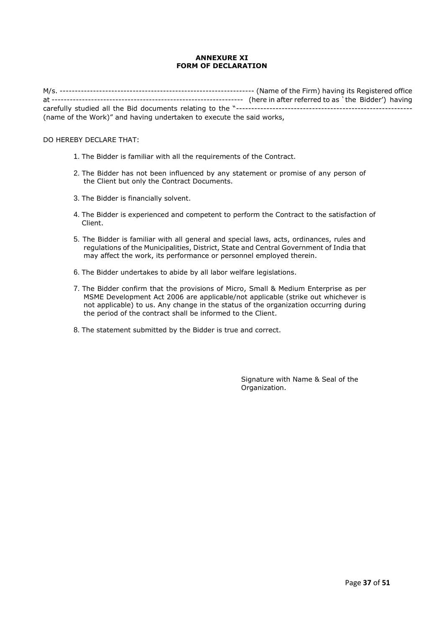#### **ANNEXURE XI FORM OF DECLARATION**

M/s. ---------------------------------------------------------------- (Name of the Firm) having its Registered office at --------------------------------------------------------------- (here in after referred to as `the Bidder') having carefully studied all the Bid documents relating to the "---------------------------------------------------------- (name of the Work)" and having undertaken to execute the said works,

#### DO HEREBY DECLARE THAT:

- 1. The Bidder is familiar with all the requirements of the Contract.
- 2. The Bidder has not been influenced by any statement or promise of any person of the Client but only the Contract Documents.
- 3. The Bidder is financially solvent.
- 4. The Bidder is experienced and competent to perform the Contract to the satisfaction of Client.
- 5. The Bidder is familiar with all general and special laws, acts, ordinances, rules and regulations of the Municipalities, District, State and Central Government of India that may affect the work, its performance or personnel employed therein.
- 6. The Bidder undertakes to abide by all labor welfare legislations.
- 7. The Bidder confirm that the provisions of Micro, Small & Medium Enterprise as per MSME Development Act 2006 are applicable/not applicable (strike out whichever is not applicable) to us. Any change in the status of the organization occurring during the period of the contract shall be informed to the Client.
- 8. The statement submitted by the Bidder is true and correct.

Signature with Name & Seal of the Organization.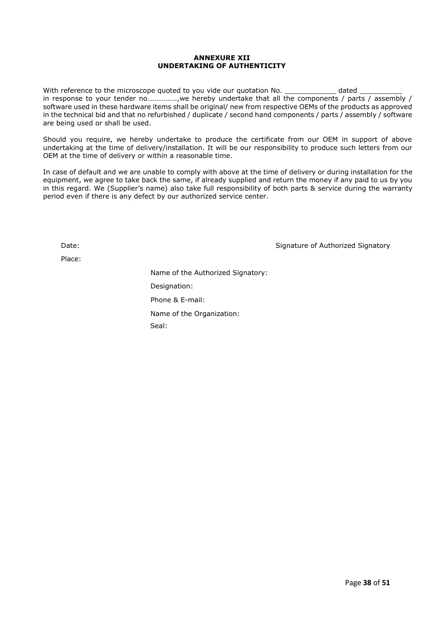#### **ANNEXURE XII UNDERTAKING OF AUTHENTICITY**

With reference to the microscope quoted to you vide our quotation No. \_\_\_\_\_\_\_\_\_\_\_\_\_\_\_ dated in response to your tender no…………….,we hereby undertake that all the components / parts / assembly / software used in these hardware items shall be original/ new from respective OEMs of the products as approved in the technical bid and that no refurbished / duplicate / second hand components / parts / assembly / software are being used or shall be used.

Should you require, we hereby undertake to produce the certificate from our OEM in support of above undertaking at the time of delivery/installation. It will be our responsibility to produce such letters from our OEM at the time of delivery or within a reasonable time.

In case of default and we are unable to comply with above at the time of delivery or during installation for the equipment, we agree to take back the same, if already supplied and return the money if any paid to us by you in this regard. We (Supplier's name) also take full responsibility of both parts & service during the warranty period even if there is any defect by our authorized service center.

Place:

Date: Signature of Authorized Signatory Chate: Signatory Signature of Authorized Signatory

Name of the Authorized Signatory: Designation: Phone & E-mail: Name of the Organization: Seal: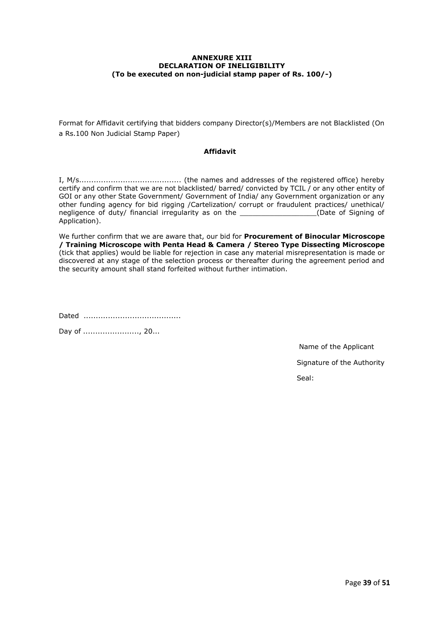#### **ANNEXURE XIII DECLARATION OF INELIGIBILITY (To be executed on non-judicial stamp paper of Rs. 100/-)**

Format for Affidavit certifying that bidders company Director(s)/Members are not Blacklisted (On a Rs.100 Non Judicial Stamp Paper)

#### **Affidavit**

I, M/s.......................................... (the names and addresses of the registered office) hereby certify and confirm that we are not blacklisted/ barred/ convicted by TCIL / or any other entity of GOI or any other State Government/ Government of India/ any Government organization or any other funding agency for bid rigging /Cartelization/ corrupt or fraudulent practices/ unethical/ negligence of duty/ financial irregularity as on the and in the state of Signing of Application).

We further confirm that we are aware that, our bid for **Procurement of Binocular Microscope / Training Microscope with Penta Head & Camera / Stereo Type Dissecting Microscope** (tick that applies) would be liable for rejection in case any material misrepresentation is made or discovered at any stage of the selection process or thereafter during the agreement period and the security amount shall stand forfeited without further intimation.

Dated ........................................

Day of ......................, 20...

 Name of the Applicant Signature of the Authority Seal: And the sealed of the sealed of the sealed of the sealed of the Sealed Sealed Sealed Sealed Sealed Sealed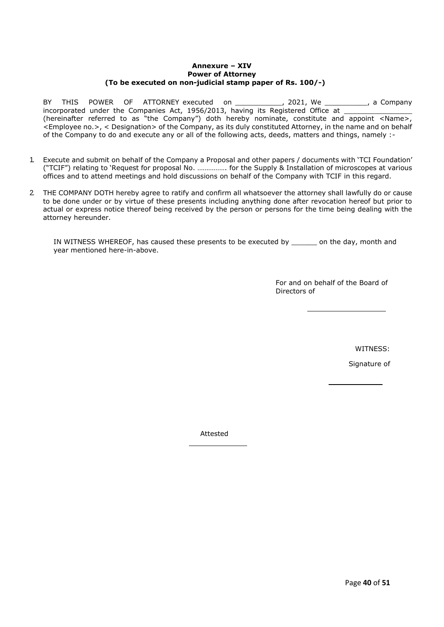#### **Annexure – XIV Power of Attorney (To be executed on non-judicial stamp paper of Rs. 100/-)**

BY THIS POWER OF ATTORNEY executed on \_\_\_\_\_\_\_\_\_\_\_\_, 2021, We \_\_\_\_\_\_\_\_\_\_\_, a Company incorporated under the Companies Act, 1956/2013, having its Registered Office at (hereinafter referred to as "the Company") doth hereby nominate, constitute and appoint <Name>, <Employee no.>, < Designation> of the Company, as its duly constituted Attorney, in the name and on behalf of the Company to do and execute any or all of the following acts, deeds, matters and things, namely :-

- 1. Execute and submit on behalf of the Company a Proposal and other papers / documents with 'TCI Foundation' ("TCIF") relating to 'Request for proposal No. ……………. for the Supply & Installation of microscopes at various offices and to attend meetings and hold discussions on behalf of the Company with TCIF in this regard.
- 2. THE COMPANY DOTH hereby agree to ratify and confirm all whatsoever the attorney shall lawfully do or cause to be done under or by virtue of these presents including anything done after revocation hereof but prior to actual or express notice thereof being received by the person or persons for the time being dealing with the attorney hereunder.

IN WITNESS WHEREOF, has caused these presents to be executed by \_\_\_\_\_\_ on the day, month and year mentioned here-in-above.

> For and on behalf of the Board of Directors of

> > WITNESS:

Signature of

Attested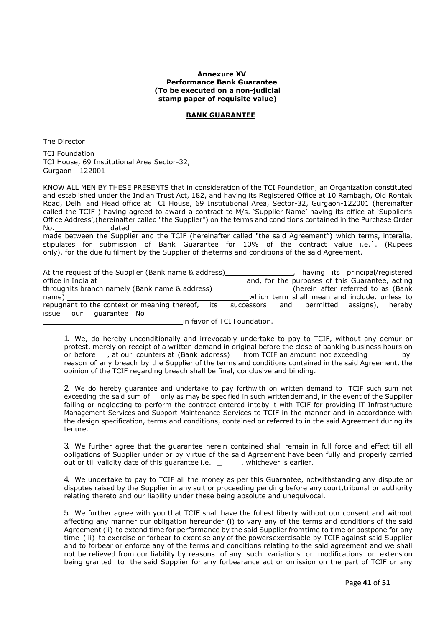#### **Annexure XV Performance Bank Guarantee (To be executed on a non-judicial stamp paper of requisite value)**

#### **BANK GUARANTEE**

The Director

TCI Foundation TCI House, 69 Institutional Area Sector-32, Gurgaon - 122001

KNOW ALL MEN BY THESE PRESENTS that in consideration of the TCI Foundation, an Organization constituted and established under the Indian Trust Act, 182, and having its Registered Office at 10 Rambagh, Old Rohtak Road, Delhi and Head office at TCI House, 69 Institutional Area, Sector-32, Gurgaon-122001 (hereinafter called the TCIF ) having agreed to award a contract to M/s. 'Supplier Name' having its office at 'Supplier's Office Address',(hereinafter called "the Supplier") on the terms and conditions contained in the Purchase Order No. the dated dated of the dated  $\sim$ 

made between the Supplier and the TCIF (hereinafter called "the said Agreement") which terms, interalia, stipulates for submission of Bank Guarantee for 10% of the contract value i.e.`. (Rupees only), for the due fulfilment by the Supplier of theterms and conditions of the said Agreement.

| At the request of the Supplier (Bank name & address) | having its principal/registered                 |
|------------------------------------------------------|-------------------------------------------------|
| office in India at                                   | and, for the purposes of this Guarantee, acting |
| throughits branch namely (Bank name & address)       | (herein after referred to as (Bank)             |
| name)                                                | which term shall mean and include, unless to    |
| repugnant to the context or meaning thereof, its     | and permitted assigns), hereby<br>successors    |
| issue<br>quarantee No<br>our                         |                                                 |
|                                                      | in favor of TCI Foundation.                     |

1. We, do hereby unconditionally and irrevocably undertake to pay to TCIF, without any demur or protest, merely on receipt of a written demand in original before the close of banking business hours on or before\_\_\_, at our counters at (Bank address) \_\_ from TCIF an amount not exceeding \_\_\_\_\_\_\_\_ by reason of any breach by the Supplier of the terms and conditions contained in the said Agreement, the opinion of the TCIF regarding breach shall be final, conclusive and binding.

2. We do hereby guarantee and undertake to pay forthwith on written demand to TCIF such sum not exceeding the said sum of only as may be specified in such writtendemand, in the event of the Supplier failing or neglecting to perform the contract entered intoby it with TCIF for providing IT Infrastructure Management Services and Support Maintenance Services to TCIF in the manner and in accordance with the design specification, terms and conditions, contained or referred to in the said Agreement during its tenure.

3. We further agree that the guarantee herein contained shall remain in full force and effect till all obligations of Supplier under or by virtue of the said Agreement have been fully and properly carried out or till validity date of this guarantee i.e. \_\_\_\_\_, whichever is earlier.

4. We undertake to pay to TCIF all the money as per this Guarantee, notwithstanding any dispute or disputes raised by the Supplier in any suit or proceeding pending before any court,tribunal or authority relating thereto and our liability under these being absolute and unequivocal.

5. We further agree with you that TCIF shall have the fullest liberty without our consent and without affecting any manner our obligation hereunder (i) to vary any of the terms and conditions of the said Agreement (ii) to extend time for performance by the said Supplier fromtime to time or postpone for any time (iii) to exercise or forbear to exercise any of the powersexercisable by TCIF against said Supplier and to forbear or enforce any of the terms and conditions relating to the said agreement and we shall not be relieved from our liability by reasons of any such variations or modifications or extension being granted to the said Supplier for any forbearance act or omission on the part of TCIF or any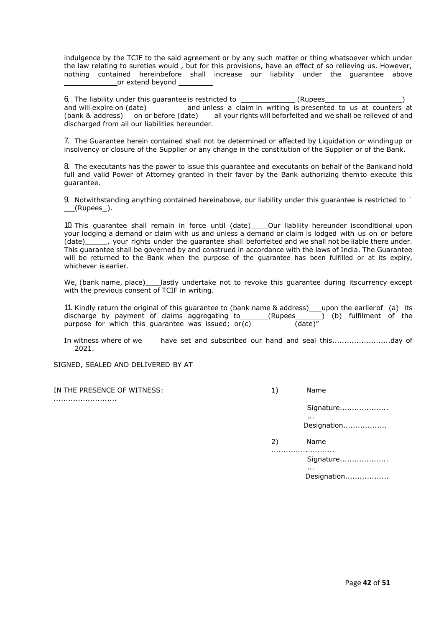indulgence by the TCIF to the said agreement or by any such matter or thing whatsoever which under the law relating to sureties would , but for this provisions, have an effect of so relieving us. However, nothing contained hereinbefore shall increase our liability under the guarantee above or extend beyond

6. The liability under this guarantee is restricted to \_\_\_\_\_\_\_\_\_\_\_\_\_\_(Rupees and will expire on  $(data)$  and unless a claim in writing is presented to us at counters at (bank & address) on or before (date) all your rights will beforfeited and we shall be relieved of and discharged from all our liabilities hereunder.

7. The Guarantee herein contained shall not be determined or affected by Liquidation or windingup or insolvency or closure of the Supplier or any change in the constitution of the Supplier or of the Bank.

8. The executants has the power to issue this guarantee and executants on behalf of the Bankand hold full and valid Power of Attorney granted in their favor by the Bank authorizing themto execute this guarantee.

9. Notwithstanding anything contained hereinabove, our liability under this guarantee is restricted to `  $(n)$ (Rupees  $(n)$ .

10. This quarantee shall remain in force until (date) \_\_\_\_\_Our liability hereunder isconditional upon your lodging a demand or claim with us and unless a demand or claim is lodged with us on or before  $\frac{1}{2}$ , your rights under the guarantee shall beforfeited and we shall not be liable there under. This guarantee shall be governed by and construed in accordance with the laws of India. The Guarantee will be returned to the Bank when the purpose of the guarantee has been fulfilled or at its expiry, whichever is earlier.

We, (bank name, place) lastly undertake not to revoke this quarantee during itscurrency except with the previous consent of TCIF in writing.

11. Kindly return the original of this guarantee to (bank name  $\&$  address) upon the earlierof (a) its discharge by payment of claims aggregating to\_\_\_\_\_\_\_(Rupees\_\_\_\_\_\_\_) (b) fulfilment of the purpose for which this guarantee was issued;  $or(c)$  (date)"

In witness where of we have set and subscribed our hand and seal this........................day of 2021.

SIGNED, SEALED AND DELIVERED BY AT

IN THE PRESENCE OF WITNESS: ..........................

| 1) | Name                             |
|----|----------------------------------|
|    | Signature<br>Designation         |
| 2) | Name<br>Signature<br>Designation |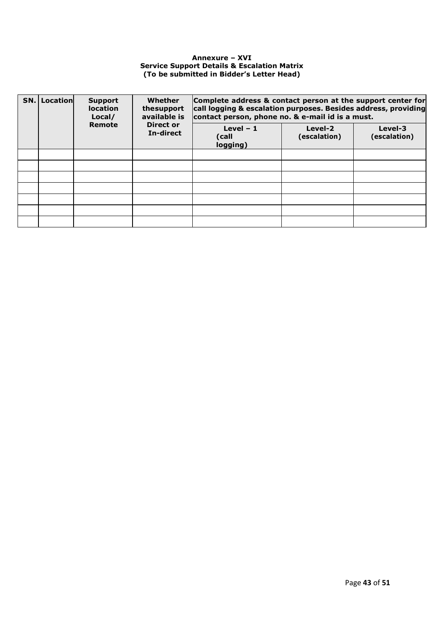#### **Annexure – XVI Service Support Details & Escalation Matrix (To be submitted in Bidder's Letter Head)**

| SN. | Location | <b>Support</b><br><b>location</b><br>Local/ | Whether<br>thesupport<br>available is | Complete address & contact person at the support center for<br>call logging & escalation purposes. Besides address, providing<br>contact person, phone no. & e-mail id is a must. |                         |                         |  |
|-----|----------|---------------------------------------------|---------------------------------------|-----------------------------------------------------------------------------------------------------------------------------------------------------------------------------------|-------------------------|-------------------------|--|
|     |          | Remote                                      | <b>Direct or</b><br>In-direct         | Level $-1$<br>(call<br>logging)                                                                                                                                                   | Level-2<br>(escalation) | Level-3<br>(escalation) |  |
|     |          |                                             |                                       |                                                                                                                                                                                   |                         |                         |  |
|     |          |                                             |                                       |                                                                                                                                                                                   |                         |                         |  |
|     |          |                                             |                                       |                                                                                                                                                                                   |                         |                         |  |
|     |          |                                             |                                       |                                                                                                                                                                                   |                         |                         |  |
|     |          |                                             |                                       |                                                                                                                                                                                   |                         |                         |  |
|     |          |                                             |                                       |                                                                                                                                                                                   |                         |                         |  |
|     |          |                                             |                                       |                                                                                                                                                                                   |                         |                         |  |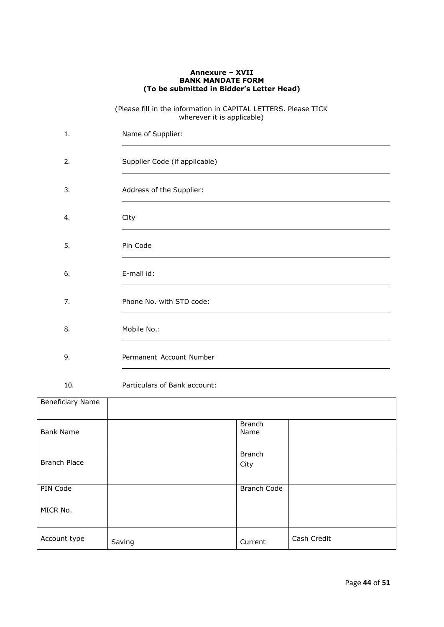#### **Annexure – XVII BANK MANDATE FORM (To be submitted in Bidder's Letter Head)**

(Please fill in the information in CAPITAL LETTERS. Please TICK wherever it is applicable)

| 1. | Name of Supplier:             |
|----|-------------------------------|
| 2. | Supplier Code (if applicable) |
| 3. | Address of the Supplier:      |
| 4. | City                          |
| 5. | Pin Code                      |
| 6. | E-mail id:                    |
| 7. | Phone No. with STD code:      |
| 8. | Mobile No.:                   |
| 9. | Permanent Account Number      |

10. Particulars of Bank account:

| Beneficiary Name    |        |                       |             |
|---------------------|--------|-----------------------|-------------|
| <b>Bank Name</b>    |        | <b>Branch</b><br>Name |             |
| <b>Branch Place</b> |        | <b>Branch</b><br>City |             |
| PIN Code            |        | <b>Branch Code</b>    |             |
| MICR No.            |        |                       |             |
| Account type        | Saving | Current               | Cash Credit |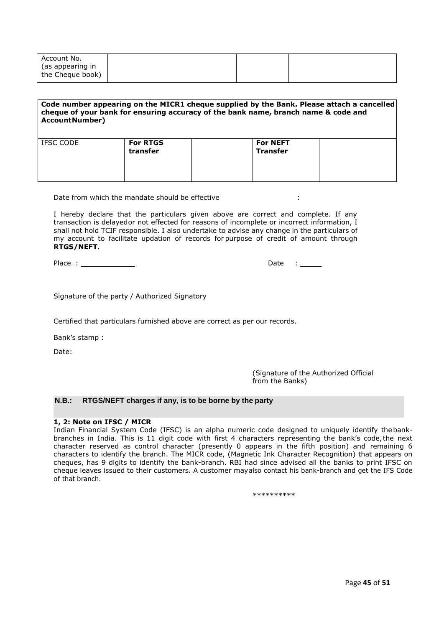| Account No.      |  |  |
|------------------|--|--|
| (as appearing in |  |  |
| the Cheque book) |  |  |

#### **Code number appearing on the MICR1 cheque supplied by the Bank. Please attach a cancelled cheque of your bank for ensuring accuracy of the bank name, branch name & code and AccountNumber)**

| IFSC CODE | <b>For RTGS</b><br>transfer | <b>For NEFT</b><br><b>Transfer</b> |  |
|-----------|-----------------------------|------------------------------------|--|
|           |                             |                                    |  |

Date from which the mandate should be effective :  $\cdot$  :

I hereby declare that the particulars given above are correct and complete. If any transaction is delayedor not effected for reasons of incomplete or incorrect information, I shall not hold TCIF responsible. I also undertake to advise any change in the particulars of my account to facilitate updation of records for purpose of credit of amount through **RTGS/NEFT**.

Place : Date :

Signature of the party / Authorized Signatory

Certified that particulars furnished above are correct as per our records.

Bank's stamp :

Date:

(Signature of the Authorized Official from the Banks)

#### **N.B.: RTGS/NEFT charges if any, is to be borne by the party**

#### **1, 2: Note on IFSC / MICR**

Indian Financial System Code (IFSC) is an alpha numeric code designed to uniquely identify thebankbranches in India. This is 11 digit code with first 4 characters representing the bank's code,the next character reserved as control character (presently 0 appears in the fifth position) and remaining 6 characters to identify the branch. The MICR code, (Magnetic Ink Character Recognition) that appears on cheques, has 9 digits to identify the bank-branch. RBI had since advised all the banks to print IFSC on cheque leaves issued to their customers. A customer mayalso contact his bank-branch and get the IFS Code of that branch.

\*\*\*\*\*\*\*\*\*\*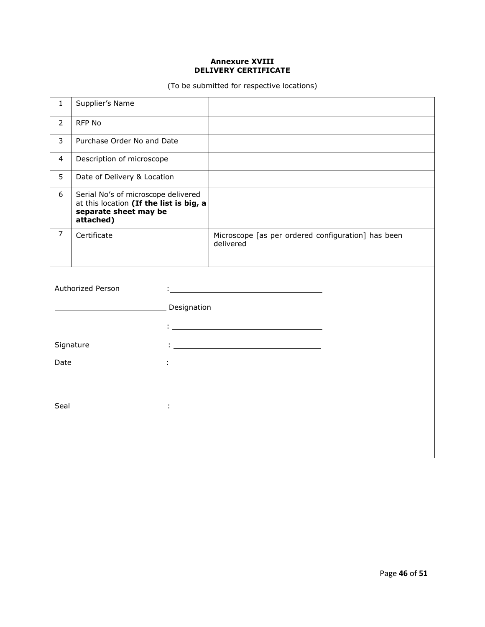#### **Annexure XVIII DELIVERY CERTIFICATE**

(To be submitted for respective locations)

| $\mathbf{1}$   | Supplier's Name                                                                                                      |                  |                                                                 |  |
|----------------|----------------------------------------------------------------------------------------------------------------------|------------------|-----------------------------------------------------------------|--|
| $\overline{2}$ | <b>RFP No</b>                                                                                                        |                  |                                                                 |  |
| 3              | Purchase Order No and Date                                                                                           |                  |                                                                 |  |
| 4              | Description of microscope                                                                                            |                  |                                                                 |  |
| 5              | Date of Delivery & Location                                                                                          |                  |                                                                 |  |
| 6              | Serial No's of microscope delivered<br>at this location (If the list is big, a<br>separate sheet may be<br>attached) |                  |                                                                 |  |
| $\overline{7}$ | Certificate                                                                                                          |                  | Microscope [as per ordered configuration] has been<br>delivered |  |
| Date<br>Seal   | <b>Authorized Person</b><br>Signature                                                                                | Designation<br>÷ | <u> 1980 - Johann Barbara, martxa alemaniar a</u>               |  |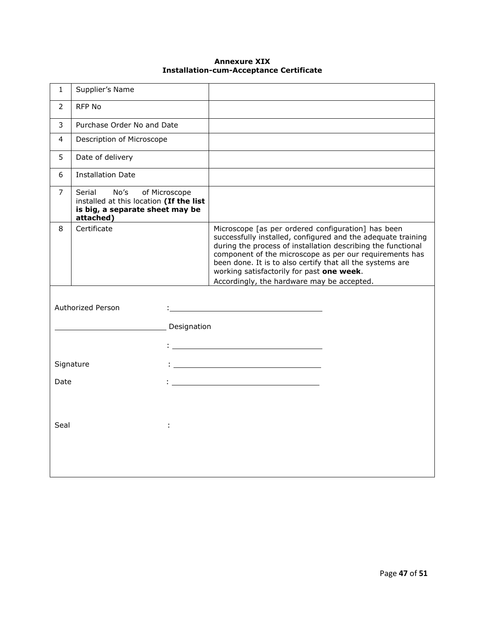#### **Annexure XIX Installation-cum-Acceptance Certificate**

| $\mathbf{1}$   | Supplier's Name                                                                                           |                  |                                                                                                                                                                                                                                                                                                                                                                                                       |  |
|----------------|-----------------------------------------------------------------------------------------------------------|------------------|-------------------------------------------------------------------------------------------------------------------------------------------------------------------------------------------------------------------------------------------------------------------------------------------------------------------------------------------------------------------------------------------------------|--|
| $\overline{2}$ | RFP No                                                                                                    |                  |                                                                                                                                                                                                                                                                                                                                                                                                       |  |
| 3              | Purchase Order No and Date                                                                                |                  |                                                                                                                                                                                                                                                                                                                                                                                                       |  |
| 4              | Description of Microscope                                                                                 |                  |                                                                                                                                                                                                                                                                                                                                                                                                       |  |
| 5              | Date of delivery                                                                                          |                  |                                                                                                                                                                                                                                                                                                                                                                                                       |  |
| 6              | <b>Installation Date</b>                                                                                  |                  |                                                                                                                                                                                                                                                                                                                                                                                                       |  |
| 7              | Serial<br>No's<br>installed at this location (If the list<br>is big, a separate sheet may be<br>attached) | of Microscope    |                                                                                                                                                                                                                                                                                                                                                                                                       |  |
| 8              | Certificate                                                                                               |                  | Microscope [as per ordered configuration] has been<br>successfully installed, configured and the adequate training<br>during the process of installation describing the functional<br>component of the microscope as per our requirements has<br>been done. It is to also certify that all the systems are<br>working satisfactorily for past one week.<br>Accordingly, the hardware may be accepted. |  |
| Date<br>Seal   | Authorized Person<br>Signature                                                                            | Designation<br>÷ | <u> 1980 - Johann Barn, mars ann an t-Amhain Aonaich an t-Aonaich an t-Aonaich ann an t-Aonaich ann an t-Aonaich</u>                                                                                                                                                                                                                                                                                  |  |
|                |                                                                                                           |                  |                                                                                                                                                                                                                                                                                                                                                                                                       |  |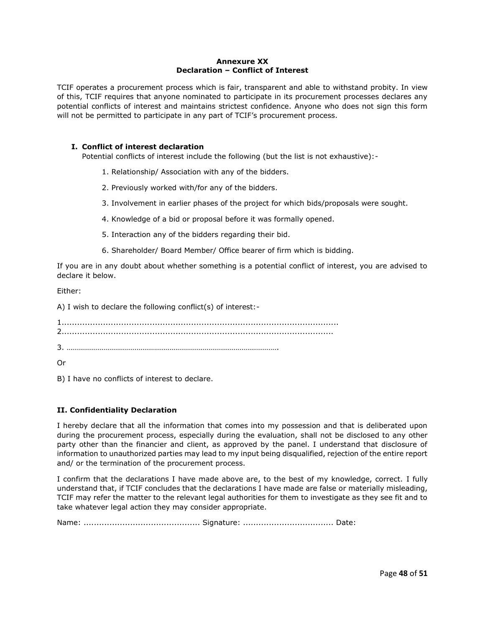#### **Annexure XX Declaration – Conflict of Interest**

TCIF operates a procurement process which is fair, transparent and able to withstand probity. In view of this, TCIF requires that anyone nominated to participate in its procurement processes declares any potential conflicts of interest and maintains strictest confidence. Anyone who does not sign this form will not be permitted to participate in any part of TCIF's procurement process.

#### **I. Conflict of interest declaration**

Potential conflicts of interest include the following (but the list is not exhaustive):-

- 1. Relationship/ Association with any of the bidders.
- 2. Previously worked with/for any of the bidders.
- 3. Involvement in earlier phases of the project for which bids/proposals were sought.
- 4. Knowledge of a bid or proposal before it was formally opened.
- 5. Interaction any of the bidders regarding their bid.
- 6. Shareholder/ Board Member/ Office bearer of firm which is bidding.

If you are in any doubt about whether something is a potential conflict of interest, you are advised to declare it below.

Either:

A) I wish to declare the following conflict(s) of interest:-

1........................................................................................................... 2.........................................................................................................

3. ……………………………………………………………………………………………….

Or

B) I have no conflicts of interest to declare.

#### **II. Confidentiality Declaration**

I hereby declare that all the information that comes into my possession and that is deliberated upon during the procurement process, especially during the evaluation, shall not be disclosed to any other party other than the financier and client, as approved by the panel. I understand that disclosure of information to unauthorized parties may lead to my input being disqualified, rejection of the entire report and/ or the termination of the procurement process.

I confirm that the declarations I have made above are, to the best of my knowledge, correct. I fully understand that, if TCIF concludes that the declarations I have made are false or materially misleading, TCIF may refer the matter to the relevant legal authorities for them to investigate as they see fit and to take whatever legal action they may consider appropriate.

Name: ............................................. Signature: ................................... Date: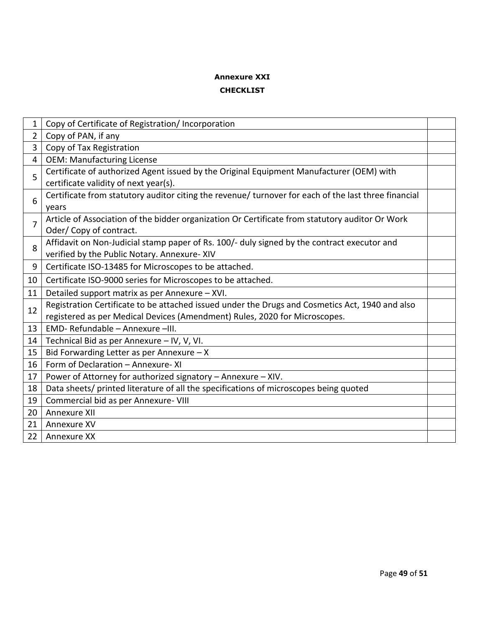#### **Annexure XXI**

#### **CHECKLIST**

| 1              | Copy of Certificate of Registration/Incorporation                                                                                                                             |  |
|----------------|-------------------------------------------------------------------------------------------------------------------------------------------------------------------------------|--|
| 2              | Copy of PAN, if any                                                                                                                                                           |  |
| 3              | Copy of Tax Registration                                                                                                                                                      |  |
| $\overline{4}$ | <b>OEM: Manufacturing License</b>                                                                                                                                             |  |
| 5              | Certificate of authorized Agent issued by the Original Equipment Manufacturer (OEM) with<br>certificate validity of next year(s).                                             |  |
| 6              | Certificate from statutory auditor citing the revenue/ turnover for each of the last three financial<br>years                                                                 |  |
| 7              | Article of Association of the bidder organization Or Certificate from statutory auditor Or Work<br>Oder/Copy of contract.                                                     |  |
| 8              | Affidavit on Non-Judicial stamp paper of Rs. 100/- duly signed by the contract executor and<br>verified by the Public Notary. Annexure-XIV                                    |  |
| 9              | Certificate ISO-13485 for Microscopes to be attached.                                                                                                                         |  |
| 10             | Certificate ISO-9000 series for Microscopes to be attached.                                                                                                                   |  |
| 11             | Detailed support matrix as per Annexure - XVI.                                                                                                                                |  |
| 12             | Registration Certificate to be attached issued under the Drugs and Cosmetics Act, 1940 and also<br>registered as per Medical Devices (Amendment) Rules, 2020 for Microscopes. |  |
| 13             | EMD-Refundable - Annexure -III.                                                                                                                                               |  |
| 14             | Technical Bid as per Annexure - IV, V, VI.                                                                                                                                    |  |
| 15             | Bid Forwarding Letter as per Annexure $- X$                                                                                                                                   |  |
| 16             | Form of Declaration - Annexure- XI                                                                                                                                            |  |
| 17             | Power of Attorney for authorized signatory - Annexure - XIV.                                                                                                                  |  |
| 18             | Data sheets/ printed literature of all the specifications of microscopes being quoted                                                                                         |  |
| 19             | Commercial bid as per Annexure- VIII                                                                                                                                          |  |
| 20             | Annexure XII                                                                                                                                                                  |  |
| 21             | Annexure XV                                                                                                                                                                   |  |
| 22             | Annexure XX                                                                                                                                                                   |  |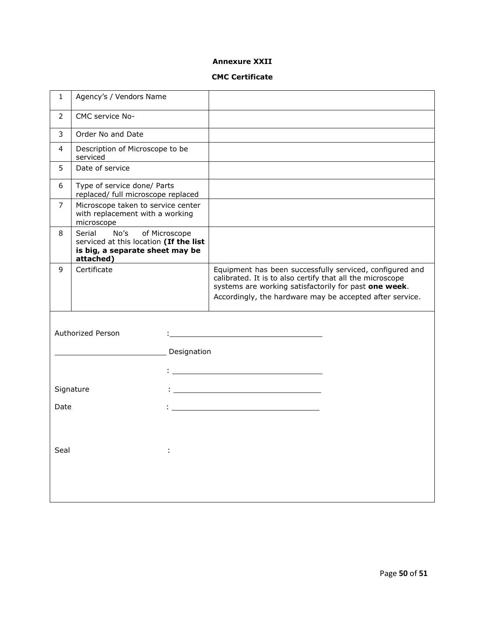#### **Annexure XXII**

#### **CMC Certificate**

| $\mathbf{1}$   | Agency's / Vendors Name                                                                                                   |                                                                                                                                                                                                                                            |
|----------------|---------------------------------------------------------------------------------------------------------------------------|--------------------------------------------------------------------------------------------------------------------------------------------------------------------------------------------------------------------------------------------|
| $\overline{2}$ | CMC service No-                                                                                                           |                                                                                                                                                                                                                                            |
| 3              | Order No and Date                                                                                                         |                                                                                                                                                                                                                                            |
| 4              | Description of Microscope to be<br>serviced                                                                               |                                                                                                                                                                                                                                            |
| 5              | Date of service                                                                                                           |                                                                                                                                                                                                                                            |
| 6              | Type of service done/ Parts<br>replaced/ full microscope replaced                                                         |                                                                                                                                                                                                                                            |
| 7              | Microscope taken to service center<br>with replacement with a working<br>microscope                                       |                                                                                                                                                                                                                                            |
| 8              | No's<br>of Microscope<br>Serial<br>serviced at this location (If the list<br>is big, a separate sheet may be<br>attached) |                                                                                                                                                                                                                                            |
| 9              | Certificate                                                                                                               | Equipment has been successfully serviced, configured and<br>calibrated. It is to also certify that all the microscope<br>systems are working satisfactorily for past one week.<br>Accordingly, the hardware may be accepted after service. |
| Date           | Authorized Person<br>Designation<br>Signature                                                                             |                                                                                                                                                                                                                                            |
| Seal           |                                                                                                                           |                                                                                                                                                                                                                                            |